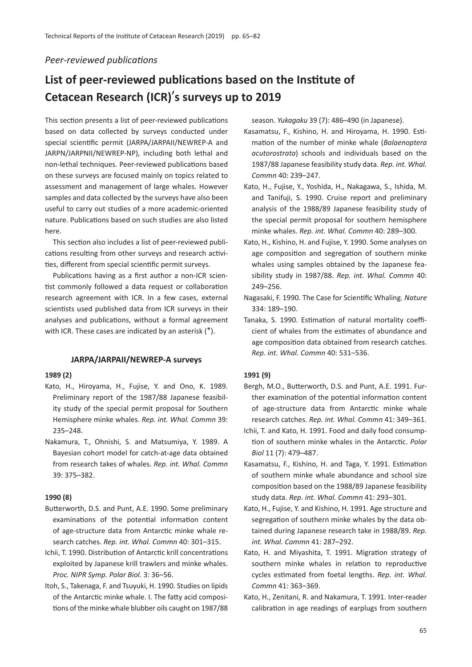# *Peer-reviewed publications*

# **List of peer-reviewed publications based on the Institute of Cetacean Research (ICR)**'**s surveys up to 2019**

This section presents a list of peer-reviewed publications based on data collected by surveys conducted under special scientific permit (JARPA/JARPAII/NEWREP-A and JARPN/JARPNII/NEWREP-NP), including both lethal and non-lethal techniques. Peer-reviewed publications based on these surveys are focused mainly on topics related to assessment and management of large whales. However samples and data collected by the surveys have also been useful to carry out studies of a more academic-oriented nature. Publications based on such studies are also listed here.

This section also includes a list of peer-reviewed publications resulting from other surveys and research activities, different from special scientific permit surveys.

Publications having as a first author a non-ICR scientist commonly followed a data request or collaboration research agreement with ICR. In a few cases, external scientists used published data from ICR surveys in their analyses and publications, without a formal agreement with ICR. These cases are indicated by an asterisk (\*).

#### **JARPA/JARPAII/NEWREP-A surveys**

#### **1989 (2)**

- Kato, H., Hiroyama, H., Fujise, Y. and Ono, K. 1989. Preliminary report of the 1987/88 Japanese feasibility study of the special permit proposal for Southern Hemisphere minke whales. *Rep. int. Whal. Commn* 39: 235–248.
- Nakamura, T., Ohnishi, S. and Matsumiya, Y. 1989. A Bayesian cohort model for catch-at-age data obtained from research takes of whales. *Rep. int. Whal. Commn* 39: 375–382.

#### **1990 (8)**

- Butterworth, D.S. and Punt, A.E. 1990. Some preliminary examinations of the potential information content of age-structure data from Antarctic minke whale research catches. *Rep. int. Whal. Commn* 40: 301–315.
- Ichii, T. 1990. Distribution of Antarctic krill concentrations exploited by Japanese krill trawlers and minke whales. *Proc. NIPR Symp. Polar Biol.* 3: 36–56.
- Itoh, S., Takenaga, F. and Tsuyuki, H. 1990. Studies on lipids of the Antarctic minke whale. I. The fatty acid compositions of the minke whale blubber oils caught on 1987/88

season. *Yukagaku* 39 (7): 486–490 (in Japanese).

- Kasamatsu, F., Kishino, H. and Hiroyama, H. 1990. Estimation of the number of minke whale (*Balaenoptera acutorostrata*) schools and individuals based on the 1987/88 Japanese feasibility study data. *Rep. int. Whal. Commn* 40: 239–247.
- Kato, H., Fujise, Y., Yoshida, H., Nakagawa, S., Ishida, M. and Tanifuji, S. 1990. Cruise report and preliminary analysis of the 1988/89 Japanese feasibility study of the special permit proposal for southern hemisphere minke whales. *Rep. int. Whal. Commn* 40: 289–300.
- Kato, H., Kishino, H. and Fujise, Y. 1990. Some analyses on age composition and segregation of southern minke whales using samples obtained by the Japanese feasibility study in 1987/88. *Rep. int. Whal. Commn* 40: 249–256.
- Nagasaki, F. 1990. The Case for Scientific Whaling. *Nature* 334: 189–190.
- Tanaka, S. 1990. Estimation of natural mortality coefficient of whales from the estimates of abundance and age composition data obtained from research catches. *Rep. int. Whal. Commn* 40: 531–536.

#### **1991 (9)**

- Bergh, M.O., Butterworth, D.S. and Punt, A.E. 1991. Further examination of the potential information content of age-structure data from Antarctic minke whale research catches. *Rep. int. Whal. Commn* 41: 349–361.
- Ichii, T. and Kato, H. 1991. Food and daily food consumption of southern minke whales in the Antarctic. *Polar Biol* 11 (7): 479–487.
- Kasamatsu, F., Kishino, H. and Taga, Y. 1991. Estimation of southern minke whale abundance and school size composition based on the 1988/89 Japanese feasibility study data. *Rep. int. Whal. Commn* 41: 293–301.
- Kato, H., Fujise, Y. and Kishino, H. 1991. Age structure and segregation of southern minke whales by the data obtained during Japanese research take in 1988/89. *Rep. int. Whal. Commn* 41: 287–292.
- Kato, H. and Miyashita, T. 1991. Migration strategy of southern minke whales in relation to reproductive cycles estimated from foetal lengths. *Rep. int. Whal. Commn* 41: 363–369.
- Kato, H., Zenitani, R. and Nakamura, T. 1991. Inter-reader calibration in age readings of earplugs from southern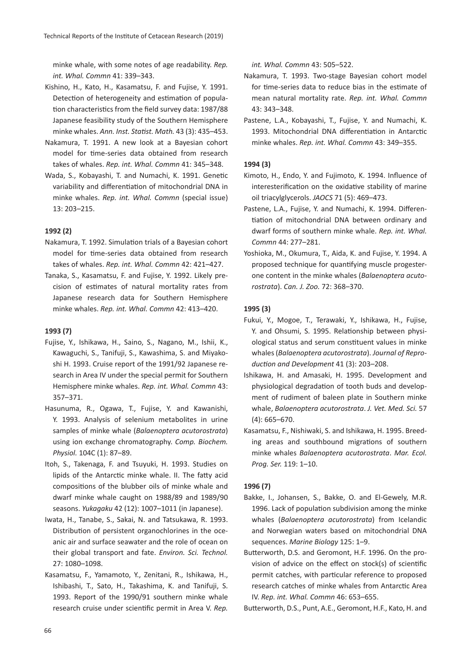minke whale, with some notes of age readability. *Rep. int. Whal. Commn* 41: 339–343.

- Kishino, H., Kato, H., Kasamatsu, F. and Fujise, Y. 1991. Detection of heterogeneity and estimation of population characteristics from the field survey data: 1987/88 Japanese feasibility study of the Southern Hemisphere minke whales. *Ann. Inst. Statist. Math.* 43 (3): 435–453.
- Nakamura, T. 1991. A new look at a Bayesian cohort model for time-series data obtained from research takes of whales. *Rep. int. Whal. Commn* 41: 345–348.
- Wada, S., Kobayashi, T. and Numachi, K. 1991. Genetic variability and differentiation of mitochondrial DNA in minke whales. *Rep. int. Whal. Commn* (special issue) 13: 203–215.

# **1992 (2)**

- Nakamura, T. 1992. Simulation trials of a Bayesian cohort model for time-series data obtained from research takes of whales. *Rep. int. Whal. Commn* 42: 421–427.
- Tanaka, S., Kasamatsu, F. and Fujise, Y. 1992. Likely precision of estimates of natural mortality rates from Japanese research data for Southern Hemisphere minke whales. *Rep. int. Whal. Commn* 42: 413–420.

#### **1993 (7)**

- Fujise, Y., Ishikawa, H., Saino, S., Nagano, M., Ishii, K., Kawaguchi, S., Tanifuji, S., Kawashima, S. and Miyakoshi H. 1993. Cruise report of the 1991/92 Japanese research in Area IV under the special permit for Southern Hemisphere minke whales. *Rep. int. Whal. Commn* 43: 357–371.
- Hasunuma, R., Ogawa, T., Fujise, Y. and Kawanishi, Y. 1993. Analysis of selenium metabolites in urine samples of minke whale (*Balaenoptera acutorostrata*) using ion exchange chromatography. *Comp. Biochem. Physiol.* 104C (1): 87–89.
- Itoh, S., Takenaga, F. and Tsuyuki, H. 1993. Studies on lipids of the Antarctic minke whale. II. The fatty acid compositions of the blubber oils of minke whale and dwarf minke whale caught on 1988/89 and 1989/90 seasons. *Yukagaku* 42 (12): 1007–1011 (in Japanese).
- Iwata, H., Tanabe, S., Sakai, N. and Tatsukawa, R. 1993. Distribution of persistent organochlorines in the oceanic air and surface seawater and the role of ocean on their global transport and fate. *Environ. Sci. Technol.* 27: 1080–1098.
- Kasamatsu, F., Yamamoto, Y., Zenitani, R., Ishikawa, H., Ishibashi, T., Sato, H., Takashima, K. and Tanifuji, S. 1993. Report of the 1990/91 southern minke whale research cruise under scientific permit in Area V. *Rep.*

*int. Whal. Commn* 43: 505–522.

- Nakamura, T. 1993. Two-stage Bayesian cohort model for time-series data to reduce bias in the estimate of mean natural mortality rate. *Rep. int. Whal. Commn* 43: 343–348.
- Pastene, L.A., Kobayashi, T., Fujise, Y. and Numachi, K. 1993. Mitochondrial DNA differentiation in Antarctic minke whales. *Rep. int. Whal. Commn* 43: 349–355.

# **1994 (3)**

- Kimoto, H., Endo, Y. and Fujimoto, K. 1994. Influence of interesterification on the oxidative stability of marine oil triacylglycerols. *JAOCS* 71 (5): 469–473.
- Pastene, L.A., Fujise, Y. and Numachi, K. 1994. Differentiation of mitochondrial DNA between ordinary and dwarf forms of southern minke whale. *Rep. int. Whal. Commn* 44: 277–281.
- Yoshioka, M., Okumura, T., Aida, K. and Fujise, Y. 1994. A proposed technique for quantifying muscle progesterone content in the minke whales (*Balaenoptera acutorostrata*). *Can. J. Zoo.* 72: 368–370.

# **1995 (3)**

- Fukui, Y., Mogoe, T., Terawaki, Y., Ishikawa, H., Fujise, Y. and Ohsumi, S. 1995. Relationship between physiological status and serum constituent values in minke whales (*Balaenoptera acutorostrata*). *Journal of Reproduction and Development* 41 (3): 203–208.
- Ishikawa, H. and Amasaki, H. 1995. Development and physiological degradation of tooth buds and development of rudiment of baleen plate in Southern minke whale, *Balaenoptera acutorostrata*. *J. Vet. Med. Sci.* 57 (4): 665–670.
- Kasamatsu, F., Nishiwaki, S. and Ishikawa, H. 1995. Breeding areas and southbound migrations of southern minke whales *Balaenoptera acutorostrata*. *Mar. Ecol. Prog. Ser.* 119: 1–10.

# **1996 (7)**

- Bakke, I., Johansen, S., Bakke, O. and El-Gewely, M.R. 1996. Lack of population subdivision among the minke whales (*Balaenoptera acutorostrata*) from Icelandic and Norwegian waters based on mitochondrial DNA sequences. *Marine Biology* 125: 1–9.
- Butterworth, D.S. and Geromont, H.F. 1996. On the provision of advice on the effect on stock(s) of scientific permit catches, with particular reference to proposed research catches of minke whales from Antarctic Area IV. *Rep. int. Whal. Commn* 46: 653–655.

Butterworth, D.S., Punt, A.E., Geromont, H.F., Kato, H. and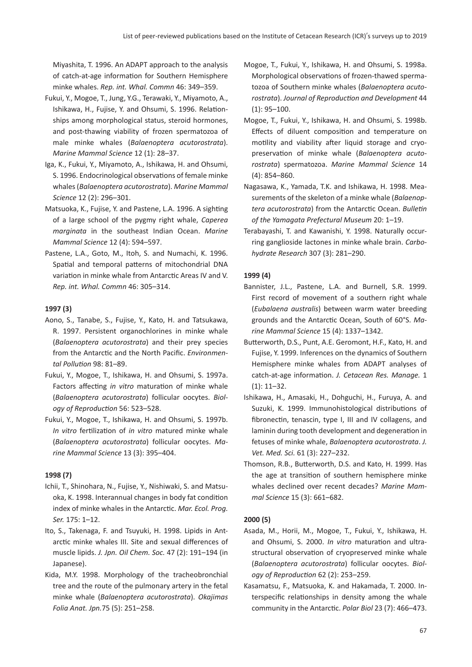Miyashita, T. 1996. An ADAPT approach to the analysis of catch-at-age information for Southern Hemisphere minke whales. *Rep. int. Whal. Commn* 46: 349–359.

- Fukui, Y., Mogoe, T., Jung, Y.G., Terawaki, Y., Miyamoto, A., Ishikawa, H., Fujise, Y. and Ohsumi, S. 1996. Relationships among morphological status, steroid hormones, and post-thawing viability of frozen spermatozoa of male minke whales (*Balaenoptera acutorostrata*). *Marine Mammal Science* 12 (1): 28–37.
- Iga, K., Fukui, Y., Miyamoto, A., Ishikawa, H. and Ohsumi, S. 1996. Endocrinological observations of female minke whales (*Balaenoptera acutorostrata*). *Marine Mammal Science* 12 (2): 296–301.
- Matsuoka, K., Fujise, Y. and Pastene, L.A. 1996. A sighting of a large school of the pygmy right whale, *Caperea marginata* in the southeast Indian Ocean. *Marine Mammal Science* 12 (4): 594–597.
- Pastene, L.A., Goto, M., Itoh, S. and Numachi, K. 1996. Spatial and temporal patterns of mitochondrial DNA variation in minke whale from Antarctic Areas IV and V. *Rep. int. Whal. Commn* 46: 305–314.

# **1997 (3)**

- Aono, S., Tanabe, S., Fujise, Y., Kato, H. and Tatsukawa, R. 1997. Persistent organochlorines in minke whale (*Balaenoptera acutorostrata*) and their prey species from the Antarctic and the North Pacific. *Environmental Pollution* 98: 81–89.
- Fukui, Y., Mogoe, T., Ishikawa, H. and Ohsumi, S. 1997a. Factors affecting *in vitro* maturation of minke whale (*Balaenoptera acutorostrata*) follicular oocytes. *Biology of Reproduction* 56: 523–528.
- Fukui, Y., Mogoe, T., Ishikawa, H. and Ohsumi, S. 1997b. *In vitro* fertilization of *in vitro* matured minke whale (*Balaenoptera acutorostrata*) follicular oocytes. *Marine Mammal Science* 13 (3): 395–404.

# **1998 (7)**

- Ichii, T., Shinohara, N., Fujise, Y., Nishiwaki, S. and Matsuoka, K. 1998. Interannual changes in body fat condition index of minke whales in the Antarctic. *Mar. Ecol. Prog. Ser.* 175: 1–12.
- Ito, S., Takenaga, F. and Tsuyuki, H. 1998. Lipids in Antarctic minke whales III. Site and sexual differences of muscle lipids. *J. Jpn. Oil Chem. Soc.* 47 (2): 191–194 (in Japanese).
- Kida, M.Y. 1998. Morphology of the tracheobronchial tree and the route of the pulmonary artery in the fetal minke whale (*Balaenoptera acutorostrata*). *Okajimas Folia Anat. Jpn.*75 (5): 251–258.
- Mogoe, T., Fukui, Y., Ishikawa, H. and Ohsumi, S. 1998a. Morphological observations of frozen-thawed spermatozoa of Southern minke whales (*Balaenoptera acutorostrata*). *Journal of Reproduction and Development* 44 (1): 95–100.
- Mogoe, T., Fukui, Y., Ishikawa, H. and Ohsumi, S. 1998b. Effects of diluent composition and temperature on motility and viability after liquid storage and cryopreservation of minke whale (*Balaenoptera acutorostrata*) spermatozoa. *Marine Mammal Science* 14 (4): 854–860.
- Nagasawa, K., Yamada, T.K. and Ishikawa, H. 1998. Measurements of the skeleton of a minke whale (*Balaenoptera acutorostrata*) from the Antarctic Ocean. *Bulletin of the Yamagata Prefectural Museum* 20: 1–19.
- Terabayashi, T. and Kawanishi, Y. 1998. Naturally occurring ganglioside lactones in minke whale brain. *Carbohydrate Research* 307 (3): 281–290.

# **1999 (4)**

- Bannister, J.L., Pastene, L.A. and Burnell, S.R. 1999. First record of movement of a southern right whale (*Eubalaena australis*) between warm water breeding grounds and the Antarctic Ocean, South of 60°S. *Marine Mammal Science* 15 (4): 1337–1342.
- Butterworth, D.S., Punt, A.E. Geromont, H.F., Kato, H. and Fujise, Y. 1999. Inferences on the dynamics of Southern Hemisphere minke whales from ADAPT analyses of catch-at-age information. *J. Cetacean Res. Manage.* 1 (1): 11–32.
- Ishikawa, H., Amasaki, H., Dohguchi, H., Furuya, A. and Suzuki, K. 1999. Immunohistological distributions of fibronectin, tenascin, type I, III and IV collagens, and laminin during tooth development and degeneration in fetuses of minke whale, *Balaenoptera acutorostrata*. *J. Vet. Med. Sci.* 61 (3): 227–232.
- Thomson, R.B., Butterworth, D.S. and Kato, H. 1999. Has the age at transition of southern hemisphere minke whales declined over recent decades? *Marine Mammal Science* 15 (3): 661–682.

# **2000 (5)**

- Asada, M., Horii, M., Mogoe, T., Fukui, Y., Ishikawa, H. and Ohsumi, S. 2000. *In vitro* maturation and ultrastructural observation of cryopreserved minke whale (*Balaenoptera acutorostrata*) follicular oocytes. *Biology of Reproduction* 62 (2): 253–259.
- Kasamatsu, F., Matsuoka, K. and Hakamada, T. 2000. Interspecific relationships in density among the whale community in the Antarctic. *Polar Biol* 23 (7): 466–473.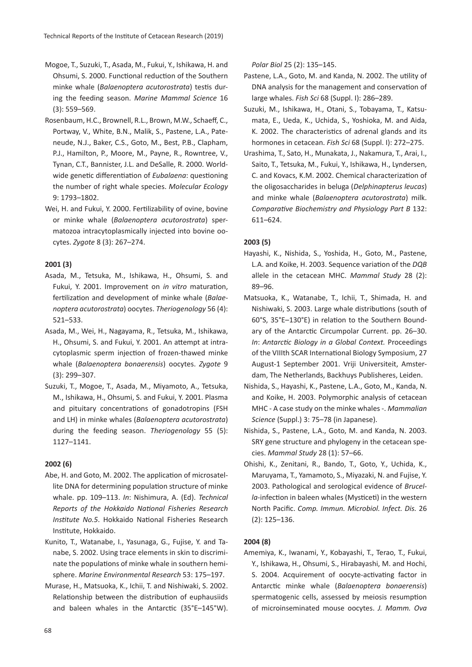- Mogoe, T., Suzuki, T., Asada, M., Fukui, Y., Ishikawa, H. and Ohsumi, S. 2000. Functional reduction of the Southern minke whale (*Balaenoptera acutorostrata*) testis during the feeding season. *Marine Mammal Science* 16 (3): 559–569.
- Rosenbaum, H.C., Brownell, R.L., Brown, M.W., Schaeff, C., Portway, V., White, B.N., Malik, S., Pastene, L.A., Pateneude, N.J., Baker, C.S., Goto, M., Best, P.B., Clapham, P.J., Hamilton, P., Moore, M., Payne, R., Rowntree, V., Tynan, C.T., Bannister, J.L. and DeSalle, R. 2000. Worldwide genetic differentiation of *Eubalaena*: questioning the number of right whale species. *Molecular Ecology* 9: 1793–1802.
- Wei, H. and Fukui, Y. 2000. Fertilizability of ovine, bovine or minke whale (*Balaenoptera acutorostrata*) spermatozoa intracytoplasmically injected into bovine oocytes. *Zygote* 8 (3): 267–274.

# **2001 (3)**

- Asada, M., Tetsuka, M., Ishikawa, H., Ohsumi, S. and Fukui, Y. 2001. Improvement on *in vitro* maturation, fertilization and development of minke whale (*Balaenoptera acutorostrata*) oocytes. *Theriogenology* 56 (4): 521–533.
- Asada, M., Wei, H., Nagayama, R., Tetsuka, M., Ishikawa, H., Ohsumi, S. and Fukui, Y. 2001. An attempt at intracytoplasmic sperm injection of frozen-thawed minke whale (*Balaenoptera bonaerensis*) oocytes. *Zygote* 9 (3): 299–307.
- Suzuki, T., Mogoe, T., Asada, M., Miyamoto, A., Tetsuka, M., Ishikawa, H., Ohsumi, S. and Fukui, Y. 2001. Plasma and pituitary concentrations of gonadotropins (FSH and LH) in minke whales (*Balaenoptera acutorostrata*) during the feeding season. *Theriogenology* 55 (5): 1127–1141.

#### **2002 (6)**

- Abe, H. and Goto, M. 2002. The application of microsatellite DNA for determining population structure of minke whale. pp. 109–113. *In*: Nishimura, A. (Ed). *Technical Reports of the Hokkaido National Fisheries Research Institute No.5*. Hokkaido National Fisheries Research Institute, Hokkaido.
- Kunito, T., Watanabe, I., Yasunaga, G., Fujise, Y. and Tanabe, S. 2002. Using trace elements in skin to discriminate the populations of minke whale in southern hemisphere. *Marine Environmental Research* 53: 175–197.
- Murase, H., Matsuoka, K., Ichii, T. and Nishiwaki, S. 2002. Relationship between the distribution of euphausiids and baleen whales in the Antarctic (35°E–145°W).

```
Polar Biol 25 (2): 135–145.
```
- Pastene, L.A., Goto, M. and Kanda, N. 2002. The utility of DNA analysis for the management and conservation of large whales. *Fish Sci* 68 (Suppl. I): 286–289.
- Suzuki, M., Ishikawa, H., Otani, S., Tobayama, T., Katsumata, E., Ueda, K., Uchida, S., Yoshioka, M. and Aida, K. 2002. The characteristics of adrenal glands and its hormones in cetacean. *Fish Sci* 68 (Suppl. I): 272–275.
- Urashima, T., Sato, H., Munakata, J., Nakamura, T., Arai, I., Saito, T., Tetsuka, M., Fukui, Y., Ishikawa, H., Lyndersen, C. and Kovacs, K.M. 2002. Chemical characterization of the oligosaccharides in beluga (*Delphinapterus leucas*) and minke whale (*Balaenoptera acutorostrata*) milk. *Comparative Biochemistry and Physiology Part B* 132: 611–624.

#### **2003 (5)**

- Hayashi, K., Nishida, S., Yoshida, H., Goto, M., Pastene, L.A. and Koike, H. 2003. Sequence variation of the *DQB* allele in the cetacean MHC. *Mammal Study* 28 (2): 89–96.
- Matsuoka, K., Watanabe, T., Ichii, T., Shimada, H. and Nishiwaki, S. 2003. Large whale distributions (south of 60°S, 35°E–130°E) in relation to the Southern Boundary of the Antarctic Circumpolar Current. pp. 26–30. *In*: *Antarctic Biology in a Global Context.* Proceedings of the VIIIth SCAR International Biology Symposium, 27 August-1 September 2001. Vriji Universiteit, Amsterdam, The Netherlands, Backhuys Publisheres, Leiden.
- Nishida, S., Hayashi, K., Pastene, L.A., Goto, M., Kanda, N. and Koike, H. 2003. Polymorphic analysis of cetacean MHC - A case study on the minke whales -. *Mammalian Science* (Suppl.) 3: 75–78 (in Japanese).
- Nishida, S., Pastene, L.A., Goto, M. and Kanda, N. 2003. SRY gene structure and phylogeny in the cetacean species. *Mammal Study* 28 (1): 57–66.
- Ohishi, K., Zenitani, R., Bando, T., Goto, Y., Uchida, K., Maruyama, T., Yamamoto, S., Miyazaki, N. and Fujise, Y. 2003. Pathological and serological evidence of *Brucella*-infection in baleen whales (Mysticeti) in the western North Pacific. *Comp. Immun. Microbiol. Infect. Dis.* 26 (2): 125–136.

#### **2004 (8)**

Amemiya, K., Iwanami, Y., Kobayashi, T., Terao, T., Fukui, Y., Ishikawa, H., Ohsumi, S., Hirabayashi, M. and Hochi, S. 2004. Acquirement of oocyte-activating factor in Antarctic minke whale (*Balaenoptera bonaerensis*) spermatogenic cells, assessed by meiosis resumption of microinseminated mouse oocytes. *J. Mamm. Ova*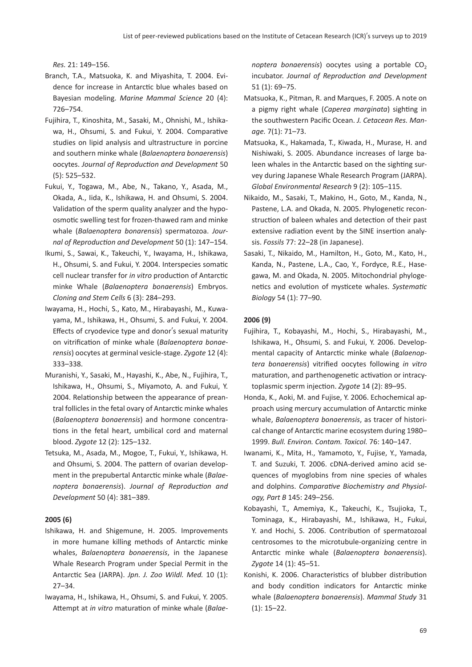*Res.* 21: 149–156.

- Branch, T.A., Matsuoka, K. and Miyashita, T. 2004. Evidence for increase in Antarctic blue whales based on Bayesian modeling. *Marine Mammal Science* 20 (4): 726–754.
- Fujihira, T., Kinoshita, M., Sasaki, M., Ohnishi, M., Ishikawa, H., Ohsumi, S. and Fukui, Y. 2004. Comparative studies on lipid analysis and ultrastructure in porcine and southern minke whale (*Balaenoptera bonaerensis*) oocytes. *Journal of Reproduction and Development* 50 (5): 525–532.
- Fukui, Y., Togawa, M., Abe, N., Takano, Y., Asada, M., Okada, A., Iida, K., Ishikawa, H. and Ohsumi, S. 2004. Validation of the sperm quality analyzer and the hypoosmotic swelling test for frozen-thawed ram and minke whale (*Balaenoptera bonarensis*) spermatozoa. *Journal of Reproduction and Development* 50 (1): 147–154.
- Ikumi, S., Sawai, K., Takeuchi, Y., Iwayama, H., Ishikawa, H., Ohsumi, S. and Fukui, Y. 2004. Interspecies somatic cell nuclear transfer for *in vitro* production of Antarctic minke Whale (*Balaenoptera bonaerensis*) Embryos. *Cloning and Stem Cells* 6 (3): 284–293.
- Iwayama, H., Hochi, S., Kato, M., Hirabayashi, M., Kuwayama, M., Ishikawa, H., Ohsumi, S. and Fukui, Y. 2004. Effects of cryodevice type and donor's sexual maturity on vitrification of minke whale (*Balaenoptera bonaerensis*) oocytes at germinal vesicle-stage. *Zygote* 12 (4): 333–338.
- Muranishi, Y., Sasaki, M., Hayashi, K., Abe, N., Fujihira, T., Ishikawa, H., Ohsumi, S., Miyamoto, A. and Fukui, Y. 2004. Relationship between the appearance of preantral follicles in the fetal ovary of Antarctic minke whales (*Balaenoptera bonaerensis*) and hormone concentrations in the fetal heart, umbilical cord and maternal blood. *Zygote* 12 (2): 125–132.
- Tetsuka, M., Asada, M., Mogoe, T., Fukui, Y., Ishikawa, H. and Ohsumi, S. 2004. The pattern of ovarian development in the prepubertal Antarctic minke whale (*Balaenoptera bonaerensis*). *Journal of Reproduction and Development* 50 (4): 381–389.

#### **2005 (6)**

- Ishikawa, H. and Shigemune, H. 2005. Improvements in more humane killing methods of Antarctic minke whales, *Balaenoptera bonaerensis*, in the Japanese Whale Research Program under Special Permit in the Antarctic Sea (JARPA). *Jpn. J. Zoo Wildl. Med.* 10 (1): 27–34.
- Iwayama, H., Ishikawa, H., Ohsumi, S. and Fukui, Y. 2005. Attempt at *in vitro* maturation of minke whale (*Balae-*

*noptera bonaerensis*) oocytes using a portable CO<sub>2</sub> incubator. *Journal of Reproduction and Development* 51 (1): 69–75.

- Matsuoka, K., Pitman, R. and Marques, F. 2005. A note on a pigmy right whale (*Caperea marginata*) sighting in the southwestern Pacific Ocean. *J. Cetacean Res. Manage.* 7(1): 71–73.
- Matsuoka, K., Hakamada, T., Kiwada, H., Murase, H. and Nishiwaki, S. 2005. Abundance increases of large baleen whales in the Antarctic based on the sighting survey during Japanese Whale Research Program (JARPA). *Global Environmental Research* 9 (2): 105–115.
- Nikaido, M., Sasaki, T., Makino, H., Goto, M., Kanda, N., Pastene, L.A. and Okada, N. 2005. Phylogenetic reconstruction of baleen whales and detection of their past extensive radiation event by the SINE insertion analysis. *Fossils* 77: 22–28 (in Japanese).
- Sasaki, T., Nikaido, M., Hamilton, H., Goto, M., Kato, H., Kanda, N., Pastene, L.A., Cao, Y., Fordyce, R.E., Hasegawa, M. and Okada, N. 2005. Mitochondrial phylogenetics and evolution of mysticete whales. *Systematic Biology* 54 (1): 77–90.

#### **2006 (9)**

- Fujihira, T., Kobayashi, M., Hochi, S., Hirabayashi, M., Ishikawa, H., Ohsumi, S. and Fukui, Y. 2006. Developmental capacity of Antarctic minke whale (*Balaenoptera bonaerensis*) vitrified oocytes following *in vitro* maturation, and parthenogenetic activation or intracytoplasmic sperm injection. *Zygote* 14 (2): 89–95.
- Honda, K., Aoki, M. and Fujise, Y. 2006. Echochemical approach using mercury accumulation of Antarctic minke whale, *Balaenoptera bonaerensis*, as tracer of historical change of Antarctic marine ecosystem during 1980– 1999. *Bull. Environ. Contam. Toxicol.* 76: 140–147.
- Iwanami, K., Mita, H., Yamamoto, Y., Fujise, Y., Yamada, T. and Suzuki, T. 2006. cDNA-derived amino acid sequences of myoglobins from nine species of whales and dolphins. *Comparative Biochemistry and Physiology, Part B* 145: 249–256.
- Kobayashi, T., Amemiya, K., Takeuchi, K., Tsujioka, T., Tominaga, K., Hirabayashi, M., Ishikawa, H., Fukui, Y. and Hochi, S. 2006. Contribution of spermatozoal centrosomes to the microtubule-organizing centre in Antarctic minke whale (*Balaenoptera bonaerensis*). *Zygote* 14 (1): 45–51.
- Konishi, K. 2006. Characteristics of blubber distribution and body condition indicators for Antarctic minke whale (*Balaenoptera bonaerensis*). *Mammal Study* 31 (1): 15–22.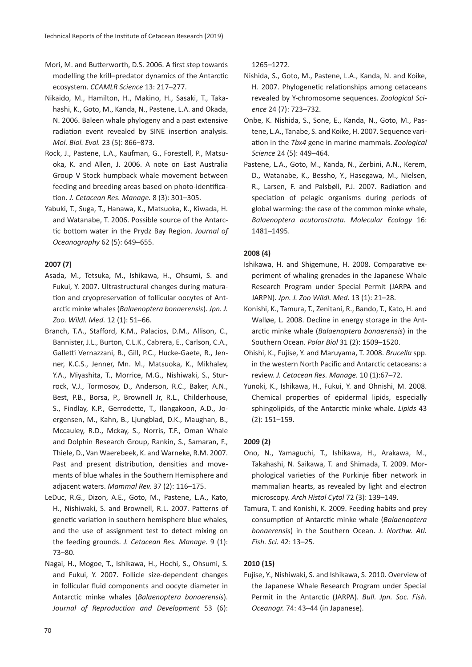- Mori, M. and Butterworth, D.S. 2006. A first step towards modelling the krill–predator dynamics of the Antarctic ecosystem. *CCAMLR Science* 13: 217–277.
- Nikaido, M., Hamilton, H., Makino, H., Sasaki, T., Takahashi, K., Goto, M., Kanda, N., Pastene, L.A. and Okada, N. 2006. Baleen whale phylogeny and a past extensive radiation event revealed by SINE insertion analysis. *Mol. Biol. Evol.* 23 (5): 866–873.
- Rock, J., Pastene, L.A., Kaufman, G., Forestell, P., Matsuoka, K. and Allen, J. 2006. A note on East Australia Group V Stock humpback whale movement between feeding and breeding areas based on photo-identification. *J. Cetacean Res. Manage.* 8 (3): 301–305.
- Yabuki, T., Suga, T., Hanawa, K., Matsuoka, K., Kiwada, H. and Watanabe, T. 2006. Possible source of the Antarctic bottom water in the Prydz Bay Region. *Journal of Oceanography* 62 (5): 649–655.

# **2007 (7)**

- Asada, M., Tetsuka, M., Ishikawa, H., Ohsumi, S. and Fukui, Y. 2007. Ultrastructural changes during maturation and cryopreservation of follicular oocytes of Antarctic minke whales (*Balaenoptera bonaerensis*). *Jpn. J. Zoo. Wildl. Med.* 12 (1): 51–66.
- Branch, T.A., Stafford, K.M., Palacios, D.M., Allison, C., Bannister, J.L., Burton, C.L.K., Cabrera, E., Carlson, C.A., Galletti Vernazzani, B., Gill, P.C., Hucke-Gaete, R., Jenner, K.C.S., Jenner, Mn. M., Matsuoka, K., Mikhalev, Y.A., Miyashita, T., Morrice, M.G., Nishiwaki, S., Sturrock, V.J., Tormosov, D., Anderson, R.C., Baker, A.N., Best, P.B., Borsa, P., Brownell Jr, R.L., Childerhouse, S., Findlay, K.P., Gerrodette, T., Ilangakoon, A.D., Joergensen, M., Kahn, B., Ljungblad, D.K., Maughan, B., Mccauley, R.D., Mckay, S., Norris, T.F., Oman Whale and Dolphin Research Group, Rankin, S., Samaran, F., Thiele, D., Van Waerebeek, K. and Warneke, R.M. 2007. Past and present distribution, densities and movements of blue whales in the Southern Hemisphere and adjacent waters. *Mammal Rev.* 37 (2): 116–175.
- LeDuc, R.G., Dizon, A.E., Goto, M., Pastene, L.A., Kato, H., Nishiwaki, S. and Brownell, R.L. 2007. Patterns of genetic variation in southern hemisphere blue whales, and the use of assignment test to detect mixing on the feeding grounds. *J. Cetacean Res. Manage.* 9 (1): 73–80.
- Nagai, H., Mogoe, T., Ishikawa, H., Hochi, S., Ohsumi, S. and Fukui, Y. 2007. Follicle size-dependent changes in follicular fluid components and oocyte diameter in Antarctic minke whales (*Balaenoptera bonaerensis*). *Journal of Reproduction and Development* 53 (6):

1265–1272.

- Nishida, S., Goto, M., Pastene, L.A., Kanda, N. and Koike, H. 2007. Phylogenetic relationships among cetaceans revealed by Y-chromosome sequences.*Zoological Science* 24 (7): 723–732.
- Onbe, K. Nishida, S., Sone, E., Kanda, N., Goto, M., Pastene, L.A., Tanabe, S. and Koike, H. 2007. Sequence variation in the *Tbx4* gene in marine mammals.*Zoological Science* 24 (5): 449–464.
- Pastene, L.A., Goto, M., Kanda, N., Zerbini, A.N., Kerem, D., Watanabe, K., Bessho, Y., Hasegawa, M., Nielsen, R., Larsen, F. and Palsbøll, P.J. 2007. Radiation and speciation of pelagic organisms during periods of global warming: the case of the common minke whale, *Balaenoptera acutorostrata. Molecular Ecology* 16: 1481–1495.

## **2008 (4)**

- Ishikawa, H. and Shigemune, H. 2008. Comparative experiment of whaling grenades in the Japanese Whale Research Program under Special Permit (JARPA and JARPN). *Jpn. J. Zoo Wildl. Med.* 13 (1): 21–28.
- Konishi, K., Tamura, T., Zenitani, R., Bando, T., Kato, H. and Walløe, L. 2008. Decline in energy storage in the Antarctic minke whale (*Balaenoptera bonaerensis*) in the Southern Ocean. *Polar Biol* 31 (2): 1509–1520.
- Ohishi, K., Fujise, Y. and Maruyama, T. 2008. *Brucella* spp. in the western North Pacific and Antarctic cetaceans: a review. *J. Cetacean Res. Manage.* 10 (1):67–72.
- Yunoki, K., Ishikawa, H., Fukui, Y. and Ohnishi, M. 2008. Chemical properties of epidermal lipids, especially sphingolipids, of the Antarctic minke whale. *Lipids* 43 (2): 151–159.

#### **2009 (2)**

- Ono, N., Yamaguchi, T., Ishikawa, H., Arakawa, M., Takahashi, N. Saikawa, T. and Shimada, T. 2009. Morphological varieties of the Purkinje fiber network in mammalian hearts, as revealed by light and electron microscopy. *Arch Histol Cytol* 72 (3): 139–149.
- Tamura, T. and Konishi, K. 2009. Feeding habits and prey consumption of Antarctic minke whale (*Balaenoptera bonaerensis*) in the Southern Ocean. *J. Northw. Atl. Fish. Sci.* 42: 13–25.

#### **2010 (15)**

Fujise, Y., Nishiwaki, S. and Ishikawa, S. 2010. Overview of the Japanese Whale Research Program under Special Permit in the Antarctic (JARPA). *Bull. Jpn. Soc. Fish. Oceanogr.* 74: 43–44 (in Japanese).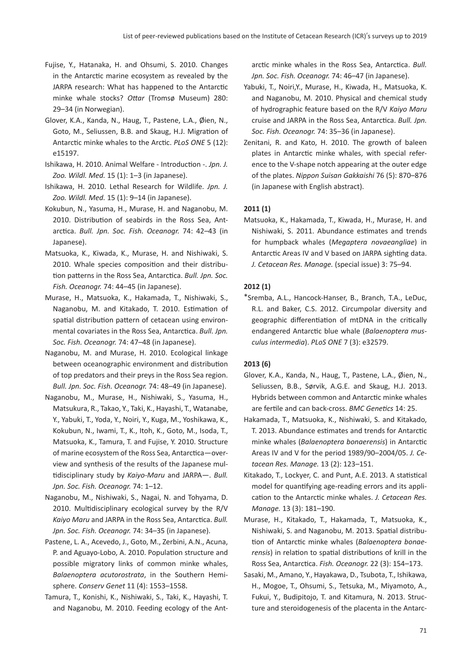- Fujise, Y., Hatanaka, H. and Ohsumi, S. 2010. Changes in the Antarctic marine ecosystem as revealed by the JARPA research: What has happened to the Antarctic minke whale stocks? *Ottar* (Tromsø Museum) 280: 29–34 (in Norwegian).
- Glover, K.A., Kanda, N., Haug, T., Pastene, L.A., Øien, N., Goto, M., Seliussen, B.B. and Skaug, H.J. Migration of Antarctic minke whales to the Arctic. *PLoS ONE* 5 (12): e15197.
- Ishikawa, H. 2010. Animal Welfare Introduction -. *Jpn. J. Zoo. Wildl. Med.* 15 (1): 1–3 (in Japanese).
- Ishikawa, H. 2010. Lethal Research for Wildlife. *Jpn. J. Zoo. Wildl. Med.* 15 (1): 9–14 (in Japanese).
- Kokubun, N., Yasuma, H., Murase, H. and Naganobu, M. 2010. Distribution of seabirds in the Ross Sea, Antarctica. *Bull. Jpn. Soc. Fish. Oceanogr.* 74: 42–43 (in Japanese).
- Matsuoka, K., Kiwada, K., Murase, H. and Nishiwaki, S. 2010. Whale species composition and their distribution patterns in the Ross Sea, Antarctica. *Bull. Jpn. Soc. Fish. Oceanogr.* 74: 44–45 (in Japanese).
- Murase, H., Matsuoka, K., Hakamada, T., Nishiwaki, S., Naganobu, M. and Kitakado, T. 2010. Estimation of spatial distribution pattern of cetacean using environmental covariates in the Ross Sea, Antarctica. *Bull. Jpn. Soc. Fish. Oceanogr.* 74: 47–48 (in Japanese).
- Naganobu, M. and Murase, H. 2010. Ecological linkage between oceanographic environment and distribution of top predators and their preys in the Ross Sea region. *Bull. Jpn. Soc. Fish. Oceanogr.* 74: 48–49 (in Japanese).
- Naganobu, M., Murase, H., Nishiwaki, S., Yasuma, H., Matsukura, R., Takao, Y., Taki, K., Hayashi, T., Watanabe, Y., Yabuki, T., Yoda, Y., Noiri, Y., Kuga, M., Yoshikawa, K., Kokubun, N., Iwami, T., K., Itoh, K., Goto, M., Isoda, T., Matsuoka, K., Tamura, T. and Fujise, Y. 2010. Structure of marine ecosystem of the Ross Sea, Antarctica—overview and synthesis of the results of the Japanese multidisciplinary study by *Kaiyo-Maru* and JARPA—. *Bull. Jpn. Soc. Fish. Oceanogr.* 74: 1–12.
- Naganobu, M., Nishiwaki, S., Nagai, N. and Tohyama, D. 2010. Multidisciplinary ecological survey by the R/V *Kaiyo Maru* and JARPA in the Ross Sea, Antarctica. *Bull. Jpn. Soc. Fish. Oceanogr.* 74: 34–35 (in Japanese).
- Pastene, L. A., Acevedo, J., Goto, M., Zerbini, A.N., Acuna, P. and Aguayo-Lobo, A. 2010. Population structure and possible migratory links of common minke whales, *Balaenoptera acutorostrata*, in the Southern Hemisphere. *Conserv Genet* 11 (4): 1553–1558.
- Tamura, T., Konishi, K., Nishiwaki, S., Taki, K., Hayashi, T. and Naganobu, M. 2010. Feeding ecology of the Ant-

arctic minke whales in the Ross Sea, Antarctica. *Bull. Jpn. Soc. Fish. Oceanogr.* 74: 46–47 (in Japanese).

- Yabuki, T., Noiri,Y., Murase, H., Kiwada, H., Matsuoka, K. and Naganobu, M. 2010. Physical and chemical study of hydrographic feature based on the R/V *Kaiyo Maru* cruise and JARPA in the Ross Sea, Antarctica. *Bull. Jpn. Soc. Fish. Oceanogr.* 74: 35–36 (in Japanese).
- Zenitani, R. and Kato, H. 2010. The growth of baleen plates in Antarctic minke whales, with special reference to the V-shape notch appearing at the outer edge of the plates. *Nippon Suisan Gakkaishi* 76 (5): 870–876 (in Japanese with English abstract).

# **2011 (1)**

Matsuoka, K., Hakamada, T., Kiwada, H., Murase, H. and Nishiwaki, S. 2011. Abundance estimates and trends for humpback whales (*Megaptera novaeangliae*) in Antarctic Areas IV and V based on JARPA sighting data. *J. Cetacean Res. Manage.* (special issue) 3: 75–94.

# **2012 (1)**

\*Sremba, A.L., Hancock-Hanser, B., Branch, T.A., LeDuc, R.L. and Baker, C.S. 2012. Circumpolar diversity and geographic differentiation of mtDNA in the critically endangered Antarctic blue whale (*Balaenoptera musculus intermedia*). *PLoS ONE* 7 (3): e32579.

#### **2013 (6)**

- Glover, K.A., Kanda, N., Haug, T., Pastene, L.A., Øien, N., Seliussen, B.B., Sørvik, A.G.E. and Skaug, H.J. 2013. Hybrids between common and Antarctic minke whales are fertile and can back-cross. *BMC Genetics* 14: 25.
- Hakamada, T., Matsuoka, K., Nishiwaki, S. and Kitakado, T. 2013. Abundance estimates and trends for Antarctic minke whales (*Balaenoptera bonaerensis*) in Antarctic Areas IV and V for the period 1989/90–2004/05. *J. Cetacean Res. Manage.* 13 (2): 123–151.
- Kitakado, T., Lockyer, C. and Punt, A.E. 2013. A statistical model for quantifying age-reading errors and its application to the Antarctic minke whales. *J. Cetacean Res. Manage.* 13 (3): 181–190.
- Murase, H., Kitakado, T., Hakamada, T., Matsuoka, K., Nishiwaki, S. and Naganobu, M. 2013. Spatial distribution of Antarctic minke whales (*Balaenoptera bonaerensis*) in relation to spatial distributions of krill in the Ross Sea, Antarctica. *Fish. Oceanogr.* 22 (3): 154–173.
- Sasaki, M., Amano, Y., Hayakawa, D., Tsubota, T., Ishikawa, H., Mogoe, T., Ohsumi, S., Tetsuka, M., Miyamoto, A., Fukui, Y., Budipitojo, T. and Kitamura, N. 2013. Structure and steroidogenesis of the placenta in the Antarc-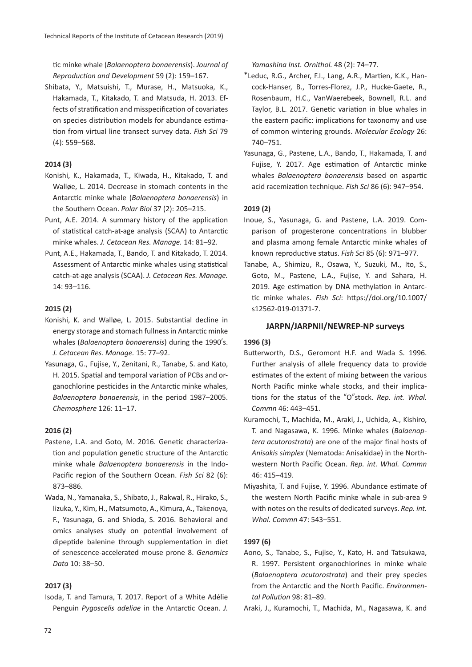tic minke whale (*Balaenoptera bonaerensis*). *Journal of Reproduction and Development* 59 (2): 159–167.

Shibata, Y., Matsuishi, T., Murase, H., Matsuoka, K., Hakamada, T., Kitakado, T. and Matsuda, H. 2013. Effects of stratification and misspecification of covariates on species distribution models for abundance estimation from virtual line transect survey data. *Fish Sci* 79 (4): 559–568.

# **2014 (3)**

- Konishi, K., Hakamada, T., Kiwada, H., Kitakado, T. and Walløe, L. 2014. Decrease in stomach contents in the Antarctic minke whale (*Balaenoptera bonaerensis*) in the Southern Ocean. *Polar Biol* 37 (2): 205–215.
- Punt, A.E. 2014. A summary history of the application of statistical catch-at-age analysis (SCAA) to Antarctic minke whales. *J. Cetacean Res. Manage.* 14: 81–92.
- Punt, A.E., Hakamada, T., Bando, T. and Kitakado, T. 2014. Assessment of Antarctic minke whales using statistical catch-at-age analysis (SCAA). *J. Cetacean Res. Manage.* 14: 93–116.

# **2015 (2)**

- Konishi, K. and Walløe, L. 2015. Substantial decline in energy storage and stomach fullness in Antarctic minke whales (*Balaenoptera bonaerensis*) during the 1990's. *J. Cetacean Res. Manage.* 15: 77–92.
- Yasunaga, G., Fujise, Y., Zenitani, R., Tanabe, S. and Kato, H. 2015. Spatial and temporal variation of PCBs and organochlorine pesticides in the Antarctic minke whales, *Balaenoptera bonaerensis*, in the period 1987–2005. *Chemosphere* 126: 11–17.

# **2016 (2)**

- Pastene, L.A. and Goto, M. 2016. Genetic characterization and population genetic structure of the Antarctic minke whale *Balaenoptera bonaerensis* in the Indo-Pacific region of the Southern Ocean. *Fish Sci* 82 (6): 873–886.
- Wada, N., Yamanaka, S., Shibato, J., Rakwal, R., Hirako, S., Iizuka, Y., Kim, H., Matsumoto, A., Kimura, A., Takenoya, F., Yasunaga, G. and Shioda, S. 2016. Behavioral and omics analyses study on potential involvement of dipeptide balenine through supplementation in diet of senescence-accelerated mouse prone 8. *Genomics Data* 10: 38–50.

# **2017 (3)**

Isoda, T. and Tamura, T. 2017. Report of a White Adélie Penguin *Pygoscelis adeliae* in the Antarctic Ocean. *J.* 

*Yamashina Inst. Ornithol.* 48 (2): 74–77.

- \*Leduc, R.G., Archer, F.I., Lang, A.R., Martien, K.K., Hancock-Hanser, B., Torres-Florez, J.P., Hucke-Gaete, R., Rosenbaum, H.C., VanWaerebeek, Bownell, R.L. and Taylor, B.L. 2017. Genetic variation in blue whales in the eastern pacific: implications for taxonomy and use of common wintering grounds. *Molecular Ecology* 26: 740–751.
- Yasunaga, G., Pastene, L.A., Bando, T., Hakamada, T. and Fujise, Y. 2017. Age estimation of Antarctic minke whales *Balaenoptera bonaerensis* based on aspartic acid racemization technique. *Fish Sci* 86 (6): 947–954.

# **2019 (2)**

- Inoue, S., Yasunaga, G. and Pastene, L.A. 2019. Comparison of progesterone concentrations in blubber and plasma among female Antarctic minke whales of known reproductive status. *Fish Sci* 85 (6): 971–977.
- Tanabe, A., Shimizu, R., Osawa, Y., Suzuki, M., Ito, S., Goto, M., Pastene, L.A., Fujise, Y. and Sahara, H. 2019. Age estimation by DNA methylation in Antarctic minke whales. *Fish Sci*: https://doi.org/10.1007/ s12562-019-01371-7.

#### **JARPN/JARPNII/NEWREP-NP surveys**

#### **1996 (3)**

- Butterworth, D.S., Geromont H.F. and Wada S. 1996. Further analysis of allele frequency data to provide estimates of the extent of mixing between the various North Pacific minke whale stocks, and their implications for the status of the "O"stock. *Rep. int. Whal. Commn* 46: 443–451.
- Kuramochi, T., Machida, M., Araki, J., Uchida, A., Kishiro, T. and Nagasawa, K. 1996. Minke whales (*Balaenoptera acutorostrata*) are one of the major final hosts of *Anisakis simplex* (Nematoda: Anisakidae) in the Northwestern North Pacific Ocean. *Rep. int. Whal. Commn* 46: 415–419.
- Miyashita, T. and Fujise, Y. 1996. Abundance estimate of the western North Pacific minke whale in sub-area 9 with notes on the results of dedicated surveys. *Rep. int. Whal. Commn* 47: 543–551.

#### **1997 (6)**

- Aono, S., Tanabe, S., Fujise, Y., Kato, H. and Tatsukawa, R. 1997. Persistent organochlorines in minke whale (*Balaenoptera acutorostrata*) and their prey species from the Antarctic and the North Pacific. *Environmental Pollution* 98: 81–89.
- Araki, J., Kuramochi, T., Machida, M., Nagasawa, K. and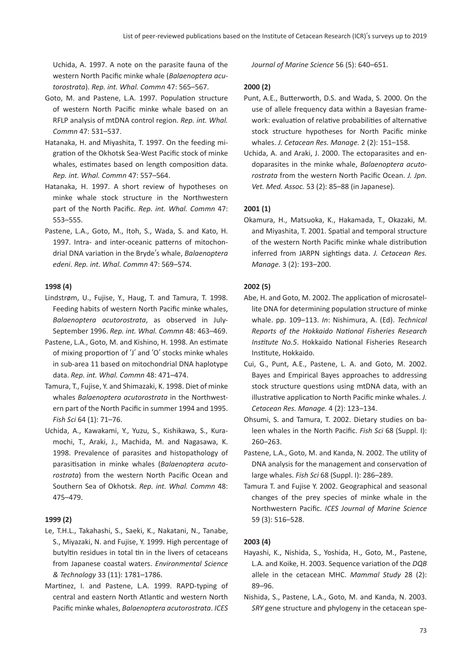Uchida, A. 1997. A note on the parasite fauna of the western North Pacific minke whale (*Balaenoptera acutorostrata*). *Rep. int. Whal. Commn* 47: 565–567.

- Goto, M. and Pastene, L.A. 1997. Population structure of western North Pacific minke whale based on an RFLP analysis of mtDNA control region. *Rep. int. Whal. Commn* 47: 531–537.
- Hatanaka, H. and Miyashita, T. 1997. On the feeding migration of the Okhotsk Sea-West Pacific stock of minke whales, estimates based on length composition data. *Rep. int. Whal. Commn* 47: 557–564.
- Hatanaka, H. 1997. A short review of hypotheses on minke whale stock structure in the Northwestern part of the North Pacific. *Rep. int. Whal. Commn* 47: 553–555.
- Pastene, L.A., Goto, M., Itoh, S., Wada, S. and Kato, H. 1997. Intra- and inter-oceanic patterns of mitochondrial DNA variation in the Bryde's whale, *Balaenoptera edeni*. *Rep. int. Whal. Commn* 47: 569–574.

# **1998 (4)**

- Lindstrøm, U., Fujise, Y., Haug, T. and Tamura, T. 1998. Feeding habits of western North Pacific minke whales, *Balaenoptera acutorostrata*, as observed in July-September 1996. *Rep. int. Whal. Commn* 48: 463–469.
- Pastene, L.A., Goto, M. and Kishino, H. 1998. An estimate of mixing proportion of ʻJ' and ʻO' stocks minke whales in sub-area 11 based on mitochondrial DNA haplotype data. *Rep. int. Whal. Commn* 48: 471–474.
- Tamura, T., Fujise, Y. and Shimazaki, K. 1998. Diet of minke whales *Balaenoptera acutorostrata* in the Northwestern part of the North Pacific in summer 1994 and 1995. *Fish Sci* 64 (1): 71–76.
- Uchida, A., Kawakami, Y., Yuzu, S., Kishikawa, S., Kuramochi, T., Araki, J., Machida, M. and Nagasawa, K. 1998. Prevalence of parasites and histopathology of parasitisation in minke whales (*Balaenoptera acutorostrata*) from the western North Pacific Ocean and Southern Sea of Okhotsk. *Rep. int. Whal. Commn* 48: 475–479.

#### **1999 (2)**

- Le, T.H.L., Takahashi, S., Saeki, K., Nakatani, N., Tanabe, S., Miyazaki, N. and Fujise, Y. 1999. High percentage of butyltin residues in total tin in the livers of cetaceans from Japanese coastal waters. *Environmental Science & Technology* 33 (11): 1781–1786.
- Martinez, I. and Pastene, L.A. 1999. RAPD-typing of central and eastern North Atlantic and western North Pacific minke whales, *Balaenoptera acutorostrata*. *ICES*

*Journal of Marine Science* 56 (5): 640–651.

## **2000 (2)**

- Punt, A.E., Butterworth, D.S. and Wada, S. 2000. On the use of allele frequency data within a Bayesian framework: evaluation of relative probabilities of alternative stock structure hypotheses for North Pacific minke whales. *J. Cetacean Res. Manage.* 2 (2): 151–158.
- Uchida, A. and Araki, J. 2000. The ectoparasites and endoparasites in the minke whale, *Balaenoptera acutorostrata* from the western North Pacific Ocean. *J. Jpn. Vet. Med. Assoc.* 53 (2): 85–88 (in Japanese).

# **2001 (1)**

Okamura, H., Matsuoka, K., Hakamada, T., Okazaki, M. and Miyashita, T. 2001. Spatial and temporal structure of the western North Pacific minke whale distribution inferred from JARPN sightings data. *J. Cetacean Res. Manage.* 3 (2): 193–200.

# **2002 (5)**

- Abe, H. and Goto, M. 2002. The application of microsatellite DNA for determining population structure of minke whale. pp. 109–113. *In*: Nishimura, A. (Ed). *Technical Reports of the Hokkaido National Fisheries Research Institute No.5*. Hokkaido National Fisheries Research Institute, Hokkaido.
- Cui, G., Punt, A.E., Pastene, L. A. and Goto, M. 2002. Bayes and Empirical Bayes approaches to addressing stock structure questions using mtDNA data, with an illustrative application to North Pacific minke whales. *J. Cetacean Res. Manage.* 4 (2): 123–134.
- Ohsumi, S. and Tamura, T. 2002. Dietary studies on baleen whales in the North Pacific. *Fish Sci* 68 (Suppl. I): 260–263.
- Pastene, L.A., Goto, M. and Kanda, N. 2002. The utility of DNA analysis for the management and conservation of large whales. *Fish Sci* 68 (Suppl. I): 286–289.
- Tamura T. and Fujise Y. 2002. Geographical and seasonal changes of the prey species of minke whale in the Northwestern Pacific. *ICES Journal of Marine Science* 59 (3): 516–528.

#### **2003 (4)**

- Hayashi, K., Nishida, S., Yoshida, H., Goto, M., Pastene, L.A. and Koike, H. 2003. Sequence variation of the *DQB* allele in the cetacean MHC. *Mammal Study* 28 (2): 89–96.
- Nishida, S., Pastene, L.A., Goto, M. and Kanda, N. 2003. *SRY* gene structure and phylogeny in the cetacean spe-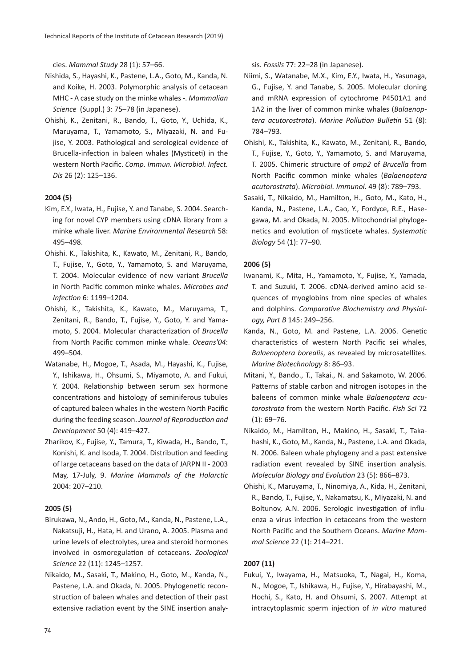cies. *Mammal Study* 28 (1): 57–66.

- Nishida, S., Hayashi, K., Pastene, L.A., Goto, M., Kanda, N. and Koike, H. 2003. Polymorphic analysis of cetacean MHC - A case study on the minke whales -. *Mammalian Science* (Suppl.) 3: 75–78 (in Japanese).
- Ohishi, K., Zenitani, R., Bando, T., Goto, Y., Uchida, K., Maruyama, T., Yamamoto, S., Miyazaki, N. and Fujise, Y. 2003. Pathological and serological evidence of Brucella-infection in baleen whales (Mysticeti) in the western North Pacific. *Comp. Immun. Microbiol. Infect. Dis* 26 (2): 125–136.

#### **2004 (5)**

- Kim, E.Y., Iwata, H., Fujise, Y. and Tanabe, S. 2004. Searching for novel CYP members using cDNA library from a minke whale liver. *Marine Environmental Research* 58: 495–498.
- Ohishi. K., Takishita, K., Kawato, M., Zenitani, R., Bando, T., Fujise, Y., Goto, Y., Yamamoto, S. and Maruyama, T. 2004. Molecular evidence of new variant *Brucella* in North Pacific common minke whales. *Microbes and Infection* 6: 1199–1204.
- Ohishi, K., Takishita, K., Kawato, M., Maruyama, T., Zenitani, R., Bando, T., Fujise, Y., Goto, Y. and Yamamoto, S. 2004. Molecular characterization of *Brucella* from North Pacific common minke whale. *Oceans'04*: 499–504.
- Watanabe, H., Mogoe, T., Asada, M., Hayashi, K., Fujise, Y., Ishikawa, H., Ohsumi, S., Miyamoto, A. and Fukui, Y. 2004. Relationship between serum sex hormone concentrations and histology of seminiferous tubules of captured baleen whales in the western North Pacific during the feeding season. *Journal of Reproduction and Development* 50 (4): 419–427.
- Zharikov, K., Fujise, Y., Tamura, T., Kiwada, H., Bando, T., Konishi, K. and Isoda, T. 2004. Distribution and feeding of large cetaceans based on the data of JARPN II - 2003 May, 17-July, 9. *Marine Mammals of the Holarctic* 2004: 207–210.

#### **2005 (5)**

- Birukawa, N., Ando, H., Goto, M., Kanda, N., Pastene, L.A., Nakatsuji, H., Hata, H. and Urano, A. 2005. Plasma and urine levels of electrolytes, urea and steroid hormones involved in osmoregulation of cetaceans. *Zoological Science* 22 (11): 1245–1257.
- Nikaido, M., Sasaki, T., Makino, H., Goto, M., Kanda, N., Pastene, L.A. and Okada, N. 2005. Phylogenetic reconstruction of baleen whales and detection of their past extensive radiation event by the SINE insertion analy-

sis. *Fossils* 77: 22–28 (in Japanese).

- Niimi, S., Watanabe, M.X., Kim, E.Y., Iwata, H., Yasunaga, G., Fujise, Y. and Tanabe, S. 2005. Molecular cloning and mRNA expression of cytochrome P4501A1 and 1A2 in the liver of common minke whales (*Balaenoptera acutorostrata*). *Marine Pollution Bulletin* 51 (8): 784–793.
- Ohishi, K., Takishita, K., Kawato, M., Zenitani, R., Bando, T., Fujise, Y., Goto, Y., Yamamoto, S. and Maruyama, T. 2005. Chimeric structure of *omp2* of *Brucella* from North Pacific common minke whales (*Balaenoptera acutorostrata*). *Microbiol. Immunol.* 49 (8): 789–793.
- Sasaki, T., Nikaido, M., Hamilton, H., Goto, M., Kato, H., Kanda, N., Pastene, L.A., Cao, Y., Fordyce, R.E., Hasegawa, M. and Okada, N. 2005. Mitochondrial phylogenetics and evolution of mysticete whales. *Systematic Biology* 54 (1): 77–90.

#### **2006 (5)**

- Iwanami, K., Mita, H., Yamamoto, Y., Fujise, Y., Yamada, T. and Suzuki, T. 2006. cDNA-derived amino acid sequences of myoglobins from nine species of whales and dolphins. *Comparative Biochemistry and Physiology, Part B* 145: 249–256.
- Kanda, N., Goto, M. and Pastene, L.A. 2006. Genetic characteristics of western North Pacific sei whales, *Balaenoptera borealis*, as revealed by microsatellites. *Marine Biotechnology* 8: 86–93.
- Mitani, Y., Bando., T., Takai., N. and Sakamoto, W. 2006. Patterns of stable carbon and nitrogen isotopes in the baleens of common minke whale *Balaenoptera acutorostrata* from the western North Pacific. *Fish Sci* 72 (1): 69–76.
- Nikaido, M., Hamilton, H., Makino, H., Sasaki, T., Takahashi, K., Goto, M., Kanda, N., Pastene, L.A. and Okada, N. 2006. Baleen whale phylogeny and a past extensive radiation event revealed by SINE insertion analysis. *Molecular Biology and Evolution* 23 (5): 866–873.
- Ohishi, K., Maruyama, T., Ninomiya, A., Kida, H., Zenitani, R., Bando, T., Fujise, Y., Nakamatsu, K., Miyazaki, N. and Boltunov, A.N. 2006. Serologic investigation of influenza a virus infection in cetaceans from the western North Pacific and the Southern Oceans. *Marine Mammal Science* 22 (1): 214–221.

#### **2007 (11)**

Fukui, Y., Iwayama, H., Matsuoka, T., Nagai, H., Koma, N., Mogoe, T., Ishikawa, H., Fujise, Y., Hirabayashi, M., Hochi, S., Kato, H. and Ohsumi, S. 2007. Attempt at intracytoplasmic sperm injection of *in vitro* matured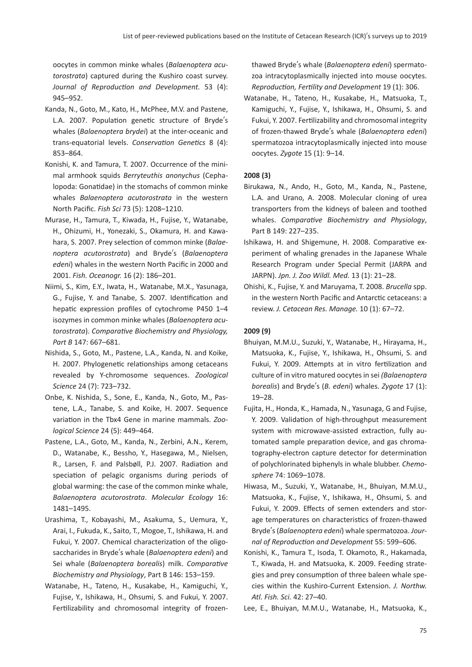oocytes in common minke whales (*Balaenoptera acutorostrata*) captured during the Kushiro coast survey. *Journal of Reproduction and Development.* 53 (4): 945–952.

- Kanda, N., Goto, M., Kato, H., McPhee, M.V. and Pastene, L.A. 2007. Population genetic structure of Bryde's whales (*Balaenoptera brydei*) at the inter-oceanic and trans-equatorial levels. *Conservation Genetics* 8 (4): 853–864.
- Konishi, K. and Tamura, T. 2007. Occurrence of the minimal armhook squids *Berryteuthis anonychus* (Cephalopoda: Gonatidae) in the stomachs of common minke whales *Balaenoptera acutorostrata* in the western North Pacific. *Fish Sci* 73 (5): 1208–1210.
- Murase, H., Tamura, T., Kiwada, H., Fujise, Y., Watanabe, H., Ohizumi, H., Yonezaki, S., Okamura, H. and Kawahara, S. 2007. Prey selection of common minke (*Balaenoptera acutorostrata*) and Bryde's (*Balaenoptera edeni*) whales in the western North Pacific in 2000 and 2001. *Fish. Oceanogr.* 16 (2): 186–201.
- Niimi, S., Kim, E.Y., Iwata, H., Watanabe, M.X., Yasunaga, G., Fujise, Y. and Tanabe, S. 2007. Identification and hepatic expression profiles of cytochrome P450 1–4 isozymes in common minke whales (*Balaenoptera acutorostrata*). *Comparative Biochemistry and Physiology, Part B* 147: 667–681.
- Nishida, S., Goto, M., Pastene, L.A., Kanda, N. and Koike, H. 2007. Phylogenetic relationships among cetaceans revealed by Y-chromosome sequences. *Zoological Science* 24 (7): 723–732.
- Onbe, K. Nishida, S., Sone, E., Kanda, N., Goto, M., Pastene, L.A., Tanabe, S. and Koike, H. 2007. Sequence variation in the Tbx4 Gene in marine mammals. *Zoological Science* 24 (5): 449–464.
- Pastene, L.A., Goto, M., Kanda, N., Zerbini, A.N., Kerem, D., Watanabe, K., Bessho, Y., Hasegawa, M., Nielsen, R., Larsen, F. and Palsbøll, P.J. 2007. Radiation and speciation of pelagic organisms during periods of global warming: the case of the common minke whale, *Balaenoptera acutorostrata*. *Molecular Ecology* 16: 1481–1495.
- Urashima, T., Kobayashi, M., Asakuma, S., Uemura, Y., Arai, I., Fukuda, K., Saito, T., Mogoe, T., Ishikawa, H. and Fukui, Y. 2007. Chemical characterization of the oligosaccharides in Bryde's whale (*Balaenoptera edeni*) and Sei whale (*Balaenoptera borealis*) milk. *Comparative Biochemistry and Physiology*, Part B 146: 153–159.
- Watanabe, H., Tateno, H., Kusakabe, H., Kamiguchi, Y., Fujise, Y., Ishikawa, H., Ohsumi, S. and Fukui, Y. 2007. Fertilizability and chromosomal integrity of frozen-

thawed Bryde's whale (*Balaenoptera edeni*) spermatozoa intracytoplasmically injected into mouse oocytes. *Reproduction, Fertility and Development* 19 (1): 306.

Watanabe, H., Tateno, H., Kusakabe, H., Matsuoka, T., Kamiguchi, Y., Fujise, Y., Ishikawa, H., Ohsumi, S. and Fukui, Y. 2007. Fertilizability and chromosomal integrity of frozen-thawed Bryde's whale (*Balaenoptera edeni*) spermatozoa intracytoplasmically injected into mouse oocytes. *Zygote* 15 (1): 9–14.

# **2008 (3)**

- Birukawa, N., Ando, H., Goto, M., Kanda, N., Pastene, L.A. and Urano, A. 2008. Molecular cloning of urea transporters from the kidneys of baleen and toothed whales. *Comparative Biochemistry and Physiology*, Part B 149: 227–235.
- Ishikawa, H. and Shigemune, H. 2008. Comparative experiment of whaling grenades in the Japanese Whale Research Program under Special Permit (JARPA and JARPN). *Jpn. J. Zoo Wildl. Med.* 13 (1): 21–28.
- Ohishi, K., Fujise, Y. and Maruyama, T. 2008. *Brucella* spp. in the western North Pacific and Antarctic cetaceans: a review. *J. Cetacean Res. Manage.* 10 (1): 67–72.

#### **2009 (9)**

- Bhuiyan, M.M.U., Suzuki, Y., Watanabe, H., Hirayama, H., Matsuoka, K., Fujise, Y., Ishikawa, H., Ohsumi, S. and Fukui, Y. 2009. Attempts at in vitro fertilization and culture of in vitro matured oocytes in sei *(Balaenoptera borealis*) and Bryde's (*B. edeni*) whales. *Zygote* 17 (1): 19–28.
- Fujita, H., Honda, K., Hamada, N., Yasunaga, G and Fujise, Y. 2009. Validation of high-throughput measurement system with microwave-assisted extraction, fully automated sample preparation device, and gas chromatography-electron capture detector for determination of polychlorinated biphenyls in whale blubber. *Chemosphere* 74: 1069–1078.
- Hiwasa, M., Suzuki, Y., Watanabe, H., Bhuiyan, M.M.U., Matsuoka, K., Fujise, Y., Ishikawa, H., Ohsumi, S. and Fukui, Y. 2009. Effects of semen extenders and storage temperatures on characteristics of frozen-thawed Bryde's (*Balaenoptera edeni*) whale spermatozoa. *Journal of Reproduction and Development* 55: 599–606.
- Konishi, K., Tamura T., Isoda, T. Okamoto, R., Hakamada, T., Kiwada, H. and Matsuoka, K. 2009. Feeding strategies and prey consumption of three baleen whale species within the Kushiro-Current Extension. *J. Northw. Atl. Fish. Sci.* 42: 27–40.
- Lee, E., Bhuiyan, M.M.U., Watanabe, H., Matsuoka, K.,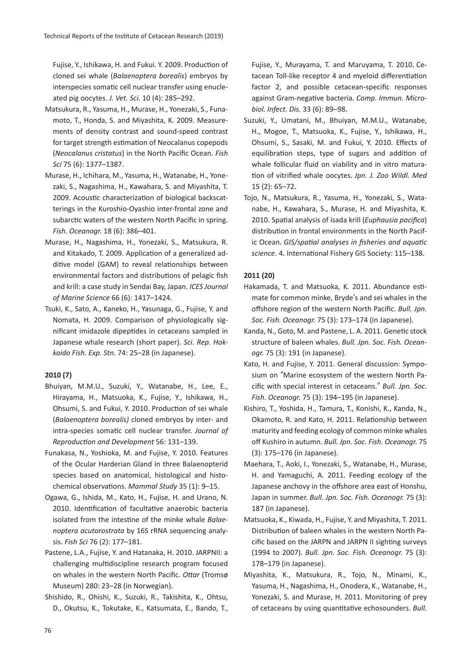Fujise, Y., Ishikawa, H. and Fukui. Y. 2009. Production of cloned sei whale (*Balaenoptera borealis*) embryos by interspecies somatic cell nuclear transfer using enucleated pig oocytes. *J. Vet. Sci.* 10 (4): 285–292.

- Matsukura, R., Yasuma, H., Murase, H., Yonezaki, S., Funamoto, T., Honda, S. and Miyashita, K. 2009. Measurements of density contrast and sound-speed contrast for target strength estimation of Neocalanus copepods (*Neocalanus cristatus*) in the North Pacific Ocean. *Fish Sci* 75 (6): 1377–1387.
- Murase, H., Ichihara, M., Yasuma, H., Watanabe, H., Yonezaki, S., Nagashima, H., Kawahara, S. and Miyashita, T. 2009. Acoustic characterization of biological backscatterings in the Kuroshio-Oyashio inter-frontal zone and subarctic waters of the western North Pacific in spring. *Fish. Oceanogr.* 18 (6): 386–401.
- Murase, H., Nagashima, H., Yonezaki, S., Matsukura, R. and Kitakado, T. 2009. Application of a generalized additive model (GAM) to reveal relationships between environmental factors and distributions of pelagic fish and krill: a case study in Sendai Bay, Japan. *ICES Journal of Marine Science* 66 (6): 1417–1424.
- Tsuki, K., Sato, A., Kaneko, H., Yasunaga, G., Fujise, Y. and Nomata, H. 2009. Comparison of physiologically significant imidazole dipeptides in cetaceans sampled in Japanese whale research (short paper). *Sci. Rep. Hokkaido Fish. Exp. Stn.* 74: 25–28 (in Japanese).

# **2010 (7)**

- Bhuiyan, M.M.U., Suzuki, Y., Watanabe, H., Lee, E., Hirayama, H., Matsuoka, K., Fujise, Y., Ishikawa, H., Ohsumi, S. and Fukui, Y. 2010. Production of sei whale (*Balaenoptera borealis)* cloned embryos by inter- and intra-species somatic cell nuclear transfer. *Journal of Reproduction and Development* 56: 131–139.
- Funakasa, N., Yoshioka, M. and Fujise, Y. 2010. Features of the Ocular Harderian Gland in three Balaenopterid species based on anatomical, histological and histochemical observations. *Mammal Study* 35 (1): 9–15.
- Ogawa, G., Ishida, M., Kato, H., Fujise, H. and Urano, N. 2010. Identification of facultative anaerobic bacteria isolated from the intestine of the minke whale *Balaenoptera acutorostrata* by 16S rRNA sequencing analysis. *Fish Sci* 76 (2): 177–181.
- Pastene, L.A., Fujise, Y. and Hatanaka, H. 2010. JARPNII: a challenging multidiscipline research program focused on whales in the western North Pacific. *Ottar* (Tromsø Museum) 280: 23–28 (in Norwegian).
- Shishido, R., Ohishi, K., Suzuki, R., Takishita, K., Ohtsu, D., Okutsu, K., Tokutake, K., Katsumata, E., Bando, T.,

Fujise, Y., Murayama, T. and Maruyama, T. 2010.Cetacean Toll-like receptor 4 and myeloid differentiation factor 2, and possible cetacean-specific responses against Gram-negative bacteria.*Comp. Immun. Microbiol. Infect. Dis.* 33 (6): 89–98.

- Suzuki, Y., Umatani, M., Bhuiyan, M.M.U., Watanabe, H., Mogoe, T., Matsuoka, K., Fujise, Y., Ishikawa, H., Ohsumi, S., Sasaki, M. and Fukui, Y. 2010. Effects of equilibration steps, type of sugars and addition of whale follicular fluid on viability and in vitro maturation of vitrified whale oocytes.*Jpn. J. Zoo Wildl. Med* 15 (2): 65–72.
- Tojo, N., Matsukura, R., Yasuma, H., Yonezaki, S., Watanabe, H., Kawahara, S., Murase, H. and Miyashita, K. 2010.Spatial analysis of isada krill (*Euphausia pacifica*) distribution in frontal environments in the North Pacific Ocean.*GIS/spatial analyses in fisheries and aquatic science*.4.International Fishery GIS Society: 115–138.

# **2011 (20)**

- Hakamada, T. and Matsuoka, K. 2011. Abundance estimate for common minke, Bryde's and sei whales in the offshore region of the western North Pacific. *Bull. Jpn. Soc. Fish. Oceanogr.* 75 (3): 173–174 (in Japanese).
- Kanda, N., Goto, M. and Pastene, L. A. 2011. Genetic stock structure of baleen whales. *Bull. Jpn. Soc. Fish. Oceanogr.* 75 (3): 191 (in Japanese).
- Kato, H. and Fujise, Y. 2011. General discussion: Symposium on "Marine ecosystem of the western North Pacific with special interest in cetaceans." *Bull. Jpn. Soc. Fish. Oceanogr.* 75 (3): 194–195 (in Japanese).
- Kishiro, T., Yoshida, H., Tamura, T., Konishi, K., Kanda, N., Okamoto, R. and Kato, H. 2011. Relationship between maturity and feeding ecology of common minke whales off Kushiro in autumn. *Bull. Jpn. Soc. Fish. Oceanogr.* 75 (3): 175–176 (in Japanese).
- Maehara, T., Aoki, I., Yonezaki, S., Watanabe, H., Murase, H. and Yamaguchi, A. 2011. Feeding ecology of the Japanese anchovy in the offshore area east of Honshu, Japan in summer. *Bull. Jpn. Soc. Fish. Oceanogr.* 75 (3): 187 (in Japanese).
- Matsuoka, K., Kiwada, H., Fujise, Y. and Miyashita, T. 2011. Distribution of baleen whales in the western North Pacific based on the JARPN and JARPN II sighting surveys (1994 to 2007). *Bull. Jpn. Soc. Fish. Oceanogr.* 75 (3): 178–179 (in Japanese).
- Miyashita, K., Matsukura, R., Tojo, N., Minami, K., Yasuma, H., Nagashima, H., Onodera, K., Watanabe, H., Yonezaki, S. and Murase, H. 2011. Monitoring of prey of cetaceans by using quantitative echosounders. *Bull.*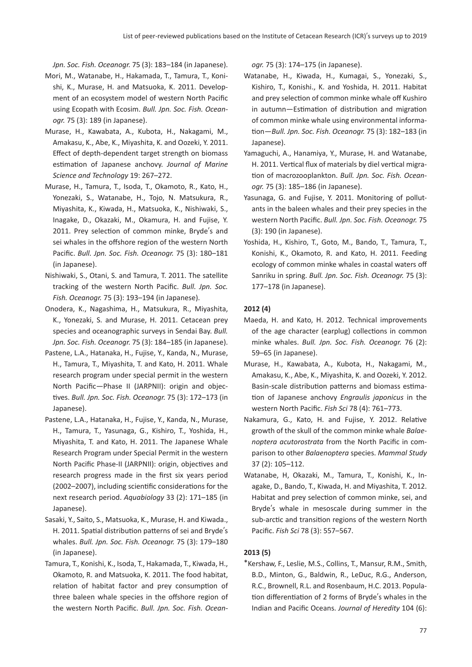*Jpn. Soc. Fish. Oceanogr.* 75 (3): 183–184 (in Japanese).

- Mori, M., Watanabe, H., Hakamada, T., Tamura, T., Konishi, K., Murase, H. and Matsuoka, K. 2011. Development of an ecosystem model of western North Pacific using Ecopath with Ecosim. *Bull. Jpn. Soc. Fish. Oceanogr.* 75 (3): 189 (in Japanese).
- Murase, H., Kawabata, A., Kubota, H., Nakagami, M., Amakasu, K., Abe, K., Miyashita, K. and Oozeki, Y. 2011. Effect of depth-dependent target strength on biomass estimation of Japanese anchovy. *Journal of Marine Science and Technology* 19: 267–272.
- Murase, H., Tamura, T., Isoda, T., Okamoto, R., Kato, H., Yonezaki, S., Watanabe, H., Tojo, N. Matsukura, R., Miyashita, K., Kiwada, H., Matsuoka, K., Nishiwaki, S., Inagake, D., Okazaki, M., Okamura, H. and Fujise, Y. 2011. Prey selection of common minke, Bryde's and sei whales in the offshore region of the western North Pacific. *Bull. Jpn. Soc. Fish. Oceanogr.* 75 (3): 180–181 (in Japanese).
- Nishiwaki, S., Otani, S. and Tamura, T. 2011. The satellite tracking of the western North Pacific. *Bull. Jpn. Soc. Fish. Oceanogr.* 75 (3): 193–194 (in Japanese).
- Onodera, K., Nagashima, H., Matsukura, R., Miyashita, K., Yonezaki, S. and Murase, H. 2011. Cetacean prey species and oceanographic surveys in Sendai Bay. *Bull. Jpn. Soc. Fish. Oceanogr.* 75 (3): 184–185 (in Japanese).
- Pastene, L.A., Hatanaka, H., Fujise, Y., Kanda, N., Murase, H., Tamura, T., Miyashita, T. and Kato, H. 2011. Whale research program under special permit in the western North Pacific—Phase II (JARPNII): origin and objectives. *Bull. Jpn. Soc. Fish. Oceanogr.* 75 (3): 172–173 (in Japanese).
- Pastene, L.A., Hatanaka, H., Fujise, Y., Kanda, N., Murase, H., Tamura, T., Yasunaga, G., Kishiro, T., Yoshida, H., Miyashita, T. and Kato, H. 2011. The Japanese Whale Research Program under Special Permit in the western North Pacific Phase-II (JARPNII): origin, objectives and research progress made in the first six years period (2002–2007), including scientific considerations for the next research period. *Aquabiology* 33 (2): 171–185 (in Japanese).
- Sasaki, Y., Saito, S., Matsuoka, K., Murase, H. and Kiwada., H. 2011. Spatial distribution patterns of sei and Bryde's whales. *Bull. Jpn. Soc. Fish. Oceanogr.* 75 (3): 179–180 (in Japanese).
- Tamura, T., Konishi, K., Isoda, T., Hakamada, T., Kiwada, H., Okamoto, R. and Matsuoka, K. 2011. The food habitat, relation of habitat factor and prey consumption of three baleen whale species in the offshore region of the western North Pacific. *Bull. Jpn. Soc. Fish. Ocean-*

*ogr.* 75 (3): 174–175 (in Japanese).

- Watanabe, H., Kiwada, H., Kumagai, S., Yonezaki, S., Kishiro, T., Konishi., K. and Yoshida, H. 2011. Habitat and prey selection of common minke whale off Kushiro in autumn—Estimation of distribution and migration of common minke whale using environmental information—*Bull. Jpn. Soc. Fish. Oceanogr.* 75 (3): 182–183 (in Japanese).
- Yamaguchi, A., Hanamiya, Y., Murase, H. and Watanabe, H. 2011. Vertical flux of materials by diel vertical migration of macrozooplankton. *Bull. Jpn. Soc. Fish. Oceanogr.* 75 (3): 185–186 (in Japanese).
- Yasunaga, G. and Fujise, Y. 2011. Monitoring of pollutants in the baleen whales and their prey species in the western North Pacific. *Bull. Jpn. Soc. Fish. Oceanogr.* 75 (3): 190 (in Japanese).
- Yoshida, H., Kishiro, T., Goto, M., Bando, T., Tamura, T., Konishi, K., Okamoto, R. and Kato, H. 2011. Feeding ecology of common minke whales in coastal waters off Sanriku in spring. *Bull. Jpn. Soc. Fish. Oceanogr.* 75 (3): 177–178 (in Japanese).

#### **2012 (4)**

- Maeda, H. and Kato, H. 2012. Technical improvements of the age character (earplug) collections in common minke whales. *Bull. Jpn. Soc. Fish. Oceanogr.* 76 (2): 59–65 (in Japanese).
- Murase, H., Kawabata, A., Kubota, H., Nakagami, M., Amakasu, K., Abe, K., Miyashita, K. and Oozeki, Y. 2012. Basin-scale distribution patterns and biomass estimation of Japanese anchovy *Engraulis japonicus* in the western North Pacific. *Fish Sci* 78 (4): 761–773.
- Nakamura, G., Kato, H. and Fujise, Y. 2012. Relative growth of the skull of the common minke whale *Balaenoptera acutorostrata* from the North Pacific in comparison to other *Balaenoptera* species. *Mammal Study* 37 (2): 105–112.
- Watanabe, H, Okazaki, M., Tamura, T., Konishi, K., Inagake, D., Bando, T., Kiwada, H. and Miyashita, T. 2012. Habitat and prey selection of common minke, sei, and Bryde's whale in mesoscale during summer in the sub-arctic and transition regions of the western North Pacific. *Fish Sci* 78 (3): 557–567.

#### **2013 (5)**

\*Kershaw, F., Leslie, M.S., Collins, T., Mansur, R.M., Smith, B.D., Minton, G., Baldwin, R., LeDuc, R.G., Anderson, R.C., Brownell, R.L. and Rosenbaum, H.C. 2013. Population differentiation of 2 forms of Bryde's whales in the Indian and Pacific Oceans. *Journal of Heredity* 104 (6):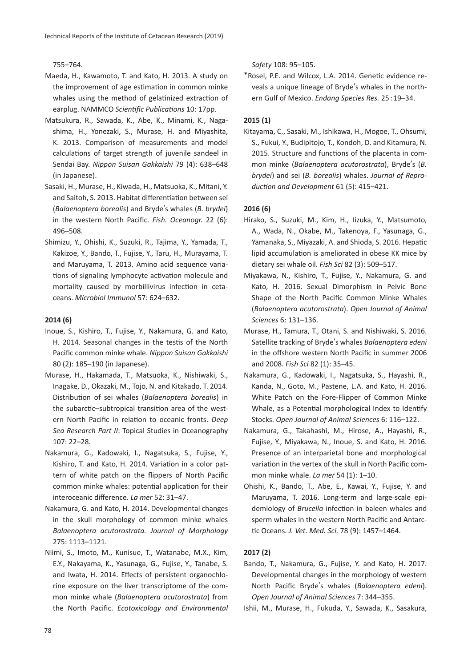755–764.

- Maeda, H., Kawamoto, T. and Kato, H. 2013. A study on the improvement of age estimation in common minke whales using the method of gelatinized extraction of earplug. NAMMCO *Scientific Publications* 10: 17pp.
- Matsukura, R., Sawada, K., Abe, K., Minami, K., Nagashima, H., Yonezaki, S., Murase, H. and Miyashita, K. 2013. Comparison of measurements and model calculations of target strength of juvenile sandeel in Sendai Bay. *Nippon Suisan Gakkaishi* 79 (4): 638–648 (in Japanese).
- Sasaki, H., Murase, H., Kiwada, H., Matsuoka, K., Mitani, Y. and Saitoh, S. 2013. Habitat differentiation between sei (*Balaenoptera borealis*) and Bryde's whales (*B. brydei*) in the western North Pacific. *Fish. Oceanogr.* 22 (6): 496–508.
- Shimizu, Y., Ohishi, K., Suzuki, R., Tajima, Y., Yamada, T., Kakizoe, Y., Bando, T., Fujise, Y., Taru, H., Murayama, T. and Maruyama, T. 2013. Amino acid sequence variations of signaling lymphocyte activation molecule and mortality caused by morbillivirus infection in cetaceans. *Microbiol Immunol* 57: 624–632.

#### **2014 (6)**

- Inoue, S., Kishiro, T., Fujise, Y., Nakamura, G. and Kato, H. 2014. Seasonal changes in the testis of the North Pacific common minke whale. *Nippon Suisan Gakkaishi* 80 (2): 185–190 (in Japanese).
- Murase, H., Hakamada, T., Matsuoka, K., Nishiwaki, S., Inagake, D., Okazaki, M., Tojo, N. and Kitakado, T. 2014. Distribution of sei whales (*Balaenoptera borealis*) in the subarctic–subtropical transition area of the western North Pacific in relation to oceanic fronts. *Deep Sea Research Part II*: Topical Studies in Oceanography 107: 22–28.
- Nakamura, G., Kadowaki, I., Nagatsuka, S., Fujise, Y., Kishiro, T. and Kato, H. 2014. Variation in a color pattern of white patch on the flippers of North Pacific common minke whales: potential application for their interoceanic difference. *La mer* 52: 31–47.
- Nakamura, G. and Kato, H. 2014. Developmental changes in the skull morphology of common minke whales *Balaenoptera acutorostrata. Journal of Morphology* 275: 1113–1121.
- Niimi, S., Imoto, M., Kunisue, T., Watanabe, M.X., Kim, E.Y., Nakayama, K., Yasunaga, G., Fujise, Y., Tanabe, S. and Iwata, H. 2014. Effects of persistent organochlorine exposure on the liver transcriptome of the common minke whale (*Balaenoptera acutorostrata*) from the North Pacific. *Ecotoxicology and Environmental*

*Safety* 108: 95–105.

\*Rosel, P.E. and Wilcox, L.A. 2014. Genetic evidence reveals a unique lineage of Bryde's whales in the northern Gulf of Mexico. *Endang Species Res.* 25 : 19–34.

#### **2015 (1)**

Kitayama, C., Sasaki, M., Ishikawa, H., Mogoe, T., Ohsumi, S., Fukui, Y., Budipitojo, T., Kondoh, D. and Kitamura, N. 2015. Structure and functions of the placenta in common minke (*Balaenoptera acutorostrata*), Bryde's (*B. brydei*) and sei (*B. borealis*) whales. *Journal of Reproduction and Development* 61 (5): 415–421.

#### **2016 (6)**

- Hirako, S., Suzuki, M., Kim, H., Iizuka, Y., Matsumoto, A., Wada, N., Okabe, M., Takenoya, F., Yasunaga, G., Yamanaka, S., Miyazaki, A. and Shioda, S. 2016. Hepatic lipid accumulation is ameliorated in obese KK mice by dietary sei whale oil. *Fish Sci* 82 (3): 509–517.
- Miyakawa, N., Kishiro, T., Fujise, Y., Nakamura, G. and Kato, H. 2016. Sexual Dimorphism in Pelvic Bone Shape of the North Pacific Common Minke Whales (*Balaenoptera acutorostrata*). *Open Journal of Animal Sciences* 6: 131–136.
- Murase, H., Tamura, T., Otani, S. and Nishiwaki, S. 2016. Satellite tracking of Bryde's whales *Balaenoptera edeni* in the offshore western North Pacific in summer 2006 and 2008. *Fish Sci* 82 (1): 35–45.
- Nakamura, G., Kadowaki, I., Nagatsuka, S., Hayashi, R., Kanda, N., Goto, M., Pastene, L.A. and Kato, H. 2016. White Patch on the Fore-Flipper of Common Minke Whale, as a Potential morphological Index to Identify Stocks. *Open Journal of Animal Sciences* 6: 116–122.
- Nakamura, G., Takahashi, M., Hirose, A., Hayashi, R., Fujise, Y., Miyakawa, N., Inoue, S. and Kato, H. 2016. Presence of an interparietal bone and morphological variation in the vertex of the skull in North Pacific common minke whale. *La mer* 54 (1): 1–10.
- Ohishi, K., Bando, T., Abe, E., Kawai, Y., Fujise, Y. and Maruyama, T. 2016. Long-term and large-scale epidemiology of *Brucella* infection in baleen whales and sperm whales in the western North Pacific and Antarctic Oceans. *J. Vet. Med. Sci.* 78 (9): 1457–1464.

#### **2017 (2)**

- Bando, T., Nakamura, G., Fujise, Y. and Kato, H. 2017. Developmental changes in the morphology of western North Pacific Bryde's whales (*Balaenoptera edeni*). *Open Journal of Animal Sciences* 7: 344–355.
- Ishii, M., Murase, H., Fukuda, Y., Sawada, K., Sasakura,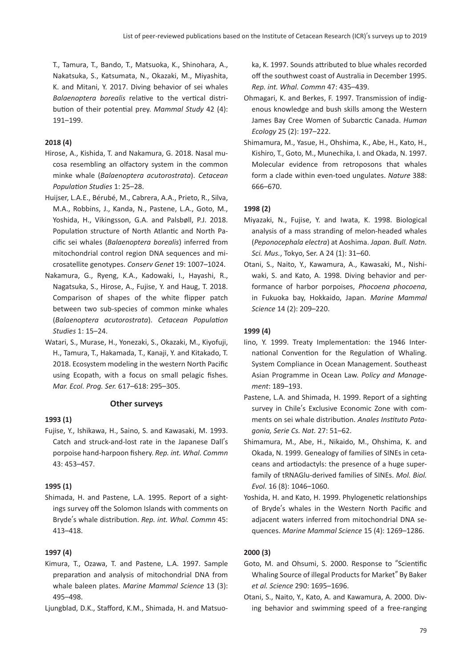T., Tamura, T., Bando, T., Matsuoka, K., Shinohara, A., Nakatsuka, S., Katsumata, N., Okazaki, M., Miyashita, K. and Mitani, Y. 2017. Diving behavior of sei whales *Balaenoptera borealis* relative to the vertical distribution of their potential prey. *Mammal Study* 42 (4): 191–199.

## **2018 (4)**

- Hirose, A., Kishida, T. and Nakamura, G. 2018. Nasal mucosa resembling an olfactory system in the common minke whale (*Balaenoptera acutorostrata*). *Cetacean Population Studies* 1: 25–28.
- Huijser, L.A.E., Bérubé, M., Cabrera, A.A., Prieto, R., Silva, M.A., Robbins, J., Kanda, N., Pastene, L.A., Goto, M., Yoshida, H., Vikingsson, G.A. and Palsbøll, P.J. 2018. Population structure of North Atlantic and North Pacific sei whales (*Balaenoptera borealis*) inferred from mitochondrial control region DNA sequences and microsatellite genotypes. *Conserv Genet* 19: 1007–1024.
- Nakamura, G., Ryeng, K.A., Kadowaki, I., Hayashi, R., Nagatsuka, S., Hirose, A., Fujise, Y. and Haug, T. 2018. Comparison of shapes of the white flipper patch between two sub-species of common minke whales (*Balaenoptera acutorostrata*). *Cetacean Population Studies* 1: 15–24.
- Watari, S., Murase, H., Yonezaki, S., Okazaki, M., Kiyofuji, H., Tamura, T., Hakamada, T., Kanaji, Y. and Kitakado, T. 2018. Ecosystem modeling in the western North Pacific using Ecopath, with a focus on small pelagic fishes. *Mar. Ecol. Prog. Ser.* 617–618: 295–305.

#### **Other surveys**

#### **1993 (1)**

Fujise, Y., Ishikawa, H., Saino, S. and Kawasaki, M. 1993. Catch and struck-and-lost rate in the Japanese Dall's porpoise hand-harpoon fishery. *Rep. int. Whal. Commn* 43: 453–457.

#### **1995 (1)**

Shimada, H. and Pastene, L.A. 1995. Report of a sightings survey off the Solomon Islands with comments on Bryde's whale distribution. *Rep. int. Whal. Commn* 45: 413–418.

#### **1997 (4)**

Kimura, T., Ozawa, T. and Pastene, L.A. 1997. Sample preparation and analysis of mitochondrial DNA from whale baleen plates. *Marine Mammal Science* 13 (3): 495–498.

Ljungblad, D.K., Stafford, K.M., Shimada, H. and Matsuo-

ka, K. 1997. Sounds attributed to blue whales recorded off the southwest coast of Australia in December 1995. *Rep. int. Whal. Commn* 47: 435–439.

- Ohmagari, K. and Berkes, F. 1997. Transmission of indigenous knowledge and bush skills among the Western James Bay Cree Women of Subarctic Canada. *Human Ecology* 25 (2): 197–222.
- Shimamura, M., Yasue, H., Ohshima, K., Abe, H., Kato, H., Kishiro, T., Goto, M., Munechika, I. and Okada, N. 1997. Molecular evidence from retroposons that whales form a clade within even-toed ungulates. *Nature* 388: 666–670.

#### **1998 (2)**

- Miyazaki, N., Fujise, Y. and Iwata, K. 1998. Biological analysis of a mass stranding of melon-headed whales (*Peponocephala electra*) at Aoshima. *Japan. Bull. Natn. Sci. Mus.*, Tokyo, Ser. A 24 (1): 31–60.
- Otani, S., Naito, Y., Kawamura, A., Kawasaki, M., Nishiwaki, S. and Kato, A. 1998. Diving behavior and performance of harbor porpoises, *Phocoena phocoena*, in Fukuoka bay, Hokkaido, Japan. *Marine Mammal Science* 14 (2): 209–220.

#### **1999 (4)**

- Iino, Y. 1999. Treaty Implementation: the 1946 International Convention for the Regulation of Whaling. System Compliance in Ocean Management. Southeast Asian Programme in Ocean Law. *Policy and Management*: 189–193.
- Pastene, L.A. and Shimada, H. 1999. Report of a sighting survey in Chile's Exclusive Economic Zone with comments on sei whale distribution. *Anales Instituto Patagonia, Serie Cs. Nat.* 27: 51–62.
- Shimamura, M., Abe, H., Nikaido, M., Ohshima, K. and Okada, N. 1999. Genealogy of families of SINEs in cetaceans and artiodactyls: the presence of a huge superfamily of tRNAGlu-derived families of SINEs. *Mol. Biol. Evol.* 16 (8): 1046–1060.
- Yoshida, H. and Kato, H. 1999. Phylogenetic relationships of Bryde's whales in the Western North Pacific and adjacent waters inferred from mitochondrial DNA sequences. *Marine Mammal Science* 15 (4): 1269–1286.

#### **2000 (3)**

- Goto, M. and Ohsumi, S. 2000. Response to "Scientific Whaling Source of illegal Products for Market" By Baker *et al. Science* 290: 1695–1696.
- Otani, S., Naito, Y., Kato, A. and Kawamura, A. 2000. Diving behavior and swimming speed of a free-ranging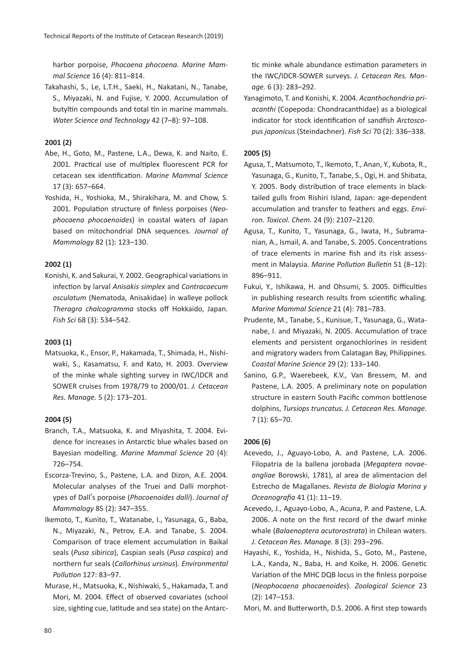harbor porpoise, *Phocoena phocoena. Marine Mammal Science* 16 (4): 811–814.

Takahashi, S., Le, L.T.H., Saeki, H., Nakatani, N., Tanabe, S., Miyazaki, N. and Fujise, Y. 2000. Accumulation of butyltin compounds and total tin in marine mammals. *Water Science and Technology* 42 (7–8): 97–108.

# **2001 (2)**

- Abe, H., Goto, M., Pastene, L.A., Dewa, K. and Naito, E. 2001. Practical use of multiplex fluorescent PCR for cetacean sex identification. *Marine Mammal Science* 17 (3): 657–664.
- Yoshida, H., Yoshioka, M., Shirakihara, M. and Chow, S. 2001. Population structure of finless porpoises (*Neophocaena phocaenoides*) in coastal waters of Japan based on mitochondrial DNA sequences. *Journal of Mammalogy* 82 (1): 123–130.

# **2002 (1)**

Konishi, K. and Sakurai, Y. 2002. Geographical variations in infection by larval *Anisakis simplex* and *Contracaecum osculatum* (Nematoda, Anisakidae) in walleye pollock *Theragra chalcogramma* stocks off Hokkaido, Japan. *Fish Sci* 68 (3): 534–542.

# **2003 (1)**

Matsuoka, K., Ensor, P., Hakamada, T., Shimada, H., Nishiwaki, S., Kasamatsu, F. and Kato, H. 2003. Overview of the minke whale sighting survey in IWC/IDCR and SOWER cruises from 1978/79 to 2000/01. *J. Cetacean Res. Manage.* 5 (2): 173–201.

# **2004 (5)**

- Branch, T.A., Matsuoka, K. and Miyashita, T. 2004. Evidence for increases in Antarctic blue whales based on Bayesian modelling. *Marine Mammal Science* 20 (4): 726–754.
- Escorza-Trevino, S., Pastene, L.A. and Dizon, A.E. 2004. Molecular analyses of the Truei and Dalli morphotypes of Dall's porpoise (*Phocoenoides dalli*). *Journal of Mammalogy* 85 (2): 347–355.
- Ikemoto, T., Kunito, T., Watanabe, I., Yasunaga, G., Baba, N., Miyazaki, N., Petrov, E.A. and Tanabe, S. 2004. Comparison of trace element accumulation in Baikal seals (*Pusa sibirica*), Caspian seals (*Pusa caspica*) and northern fur seals (*Callorhinus ursinus*). *Environmental Pollution* 127: 83–97.
- Murase, H., Matsuoka, K., Nishiwaki, S., Hakamada, T. and Mori, M. 2004. Effect of observed covariates (school size, sighting cue, latitude and sea state) on the Antarc-

tic minke whale abundance estimation parameters in the IWC/IDCR-SOWER surveys. *J. Cetacean Res. Manage.* 6 (3): 283–292.

Yanagimoto, T. and Konishi, K. 2004. *Acanthochondria priacanthi* (Copepoda: Chondracanthidae) as a biological indicator for stock identification of sandfish *Arctoscopus japonicus* (Steindachner). *Fish Sci* 70 (2): 336–338.

# **2005 (5)**

- Agusa, T., Matsumoto, T., Ikemoto, T., Anan, Y., Kubota, R., Yasunaga, G., Kunito, T., Tanabe, S., Ogi, H. and Shibata, Y. 2005. Body distribution of trace elements in blacktailed gulls from Rishiri Island, Japan: age-dependent accumulation and transfer to feathers and eggs. *Environ. Toxicol. Chem.* 24 (9): 2107–2120.
- Agusa, T., Kunito, T., Yasunaga, G., Iwata, H., Subramanian, A., Ismail, A. and Tanabe, S. 2005. Concentrations of trace elements in marine fish and its risk assessment in Malaysia. *Marine Pollution Bulletin* 51 (8–12): 896–911.
- Fukui, Y., Ishikawa, H. and Ohsumi, S. 2005. Difficulties in publishing research results from scientific whaling. *Marine Mammal Science* 21 (4): 781–783.
- Prudente, M., Tanabe, S., Kunisue, T., Yasunaga, G., Watanabe, I. and Miyazaki, N. 2005. Accumulation of trace elements and persistent organochlorines in resident and migratory waders from Calatagan Bay, Philippines. *Coastal Marine Science* 29 (2): 133–140.
- Sanino, G.P., Waerebeek, K.V., Van Bressem, M. and Pastene, L.A. 2005. A preliminary note on population structure in eastern South Pacific common bottlenose dolphins, *Tursiops truncatus. J. Cetacean Res. Manage.* 7 (1): 65–70.

# **2006 (6)**

- Acevedo, J., Aguayo-Lobo, A. and Pastene, L.A. 2006. Filopatria de la ballena jorobada (*Megaptera novaeangliae* Borowski, 1781), al area de alimentacion del Estrecho de Magallanes. *Revista de Biologia Marina y Oceanografia* 41 (1): 11–19.
- Acevedo, J., Aguayo-Lobo, A., Acuna, P. and Pastene, L.A. 2006. A note on the first record of the dwarf minke whale (*Balaenoptera acutorostrata*) in Chilean waters. *J. Cetacean Res. Manage.* 8 (3): 293–296.
- Hayashi, K., Yoshida, H., Nishida, S., Goto, M., Pastene, L.A., Kanda, N., Baba, H. and Koike, H. 2006. Genetic Variation of the MHC DQB locus in the finless porpoise (*Neophocaena phocaenoides*). *Zoological Science* 23 (2): 147–153.
- Mori, M. and Butterworth, D.S. 2006. A first step towards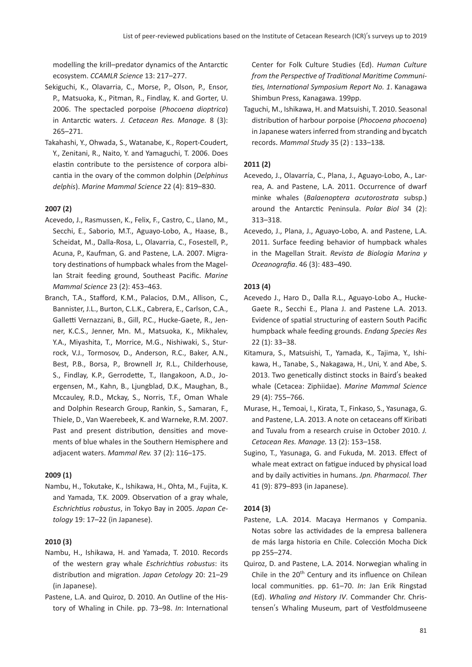modelling the krill–predator dynamics of the Antarctic ecosystem. *CCAMLR Science* 13: 217–277.

- Sekiguchi, K., Olavarria, C., Morse, P., Olson, P., Ensor, P., Matsuoka, K., Pitman, R., Findlay, K. and Gorter, U. 2006. The spectacled porpoise (*Phocoena dioptrica*) in Antarctic waters. *J. Cetacean Res. Manage.* 8 (3): 265–271.
- Takahashi, Y., Ohwada, S., Watanabe, K., Ropert-Coudert, Y., Zenitani, R., Naito, Y. and Yamaguchi, T. 2006. Does elastin contribute to the persistence of corpora albicantia in the ovary of the common dolphin (*Delphinus delphis*). *Marine Mammal Science* 22 (4): 819–830.

# **2007 (2)**

- Acevedo, J., Rasmussen, K., Felix, F., Castro, C., Llano, M., Secchi, E., Saborio, M.T., Aguayo-Lobo, A., Haase, B., Scheidat, M., Dalla-Rosa, L., Olavarria, C., Fosestell, P., Acuna, P., Kaufman, G. and Pastene, L.A. 2007. Migratory destinations of humpback whales from the Magellan Strait feeding ground, Southeast Pacific. *Marine Mammal Science* 23 (2): 453–463.
- Branch, T.A., Stafford, K.M., Palacios, D.M., Allison, C., Bannister, J.L., Burton, C.L.K., Cabrera, E., Carlson, C.A., Galletti Vernazzani, B., Gill, P.C., Hucke-Gaete, R., Jenner, K.C.S., Jenner, Mn. M., Matsuoka, K., Mikhalev, Y.A., Miyashita, T., Morrice, M.G., Nishiwaki, S., Sturrock, V.J., Tormosov, D., Anderson, R.C., Baker, A.N., Best, P.B., Borsa, P., Brownell Jr, R.L., Childerhouse, S., Findlay, K.P., Gerrodette, T., Ilangakoon, A.D., Joergensen, M., Kahn, B., Ljungblad, D.K., Maughan, B., Mccauley, R.D., Mckay, S., Norris, T.F., Oman Whale and Dolphin Research Group, Rankin, S., Samaran, F., Thiele, D., Van Waerebeek, K. and Warneke, R.M. 2007. Past and present distribution, densities and movements of blue whales in the Southern Hemisphere and adjacent waters. *Mammal Rev.* 37 (2): 116–175.

#### **2009 (1)**

Nambu, H., Tokutake, K., Ishikawa, H., Ohta, M., Fujita, K. and Yamada, T.K. 2009. Observation of a gray whale, *Eschrichtius robustus*, in Tokyo Bay in 2005. *Japan Cetology* 19: 17–22 (in Japanese).

# **2010 (3)**

- Nambu, H., Ishikawa, H. and Yamada, T. 2010. Records of the western gray whale *Eschrichtius robustus*: its distribution and migration. *Japan Cetology* 20: 21–29 (in Japanese).
- Pastene, L.A. and Quiroz, D. 2010. An Outline of the History of Whaling in Chile. pp. 73–98. *In*: International

Center for Folk Culture Studies (Ed). *Human Culture from the Perspective of Traditional Maritime Communities, International Symposium Report No. 1*. Kanagawa Shimbun Press, Kanagawa. 199pp.

Taguchi, M., Ishikawa, H. and Matsuishi, T. 2010. Seasonal distribution of harbour porpoise (*Phocoena phocoena*) in Japanese waters inferred from stranding and bycatch records.*Mammal Study* 35 (2) : 133–138.

#### **2011 (2)**

- Acevedo, J., Olavarría, C., Plana, J., Aguayo-Lobo, A., Larrea, A. and Pastene, L.A. 2011. Occurrence of dwarf minke whales (*Balaenoptera acutorostrata* subsp.) around the Antarctic Peninsula. *Polar Biol* 34 (2): 313–318.
- Acevedo, J., Plana, J., Aguayo-Lobo, A. and Pastene, L.A. 2011. Surface feeding behavior of humpback whales in the Magellan Strait. *Revista de Biologia Marina y Oceanografia*. 46 (3): 483–490.

# **2013 (4)**

- Acevedo J., Haro D., Dalla R.L., Aguayo-Lobo A., Hucke-Gaete R., Secchi E., Plana J. and Pastene L.A. 2013. Evidence of spatial structuring of eastern South Pacific humpback whale feeding grounds. *Endang Species Res* 22 (1): 33–38.
- Kitamura, S., Matsuishi, T., Yamada, K., Tajima, Y., Ishikawa, H., Tanabe, S., Nakagawa, H., Uni, Y. and Abe, S. 2013. Two genetically distinct stocks in Baird's beaked whale (Cetacea: Ziphiidae). *Marine Mammal Science* 29 (4): 755–766.
- Murase, H., Temoai, I., Kirata, T., Finkaso, S., Yasunaga, G. and Pastene, L.A. 2013. A note on cetaceans off Kiribati and Tuvalu from a research cruise in October 2010. *J. Cetacean Res. Manage.* 13 (2): 153–158.
- Sugino, T., Yasunaga, G. and Fukuda, M. 2013. Effect of whale meat extract on fatigue induced by physical load and by daily activities in humans. *Jpn. Pharmacol. Ther* 41 (9): 879–893 (in Japanese).

#### **2014 (3)**

- Pastene, L.A. 2014. Macaya Hermanos y Compania. Notas sobre las actividades de la empresa ballenera de más larga historia en Chile. Colección Mocha Dick pp 255–274.
- Quiroz, D. and Pastene, L.A. 2014. Norwegian whaling in Chile in the 20<sup>th</sup> Century and its influence on Chilean local communities. pp. 61–70. *In*: Jan Erik Ringstad (Ed). *Whaling and History IV*. Commander Chr. Christensen's Whaling Museum, part of Vestfoldmuseene